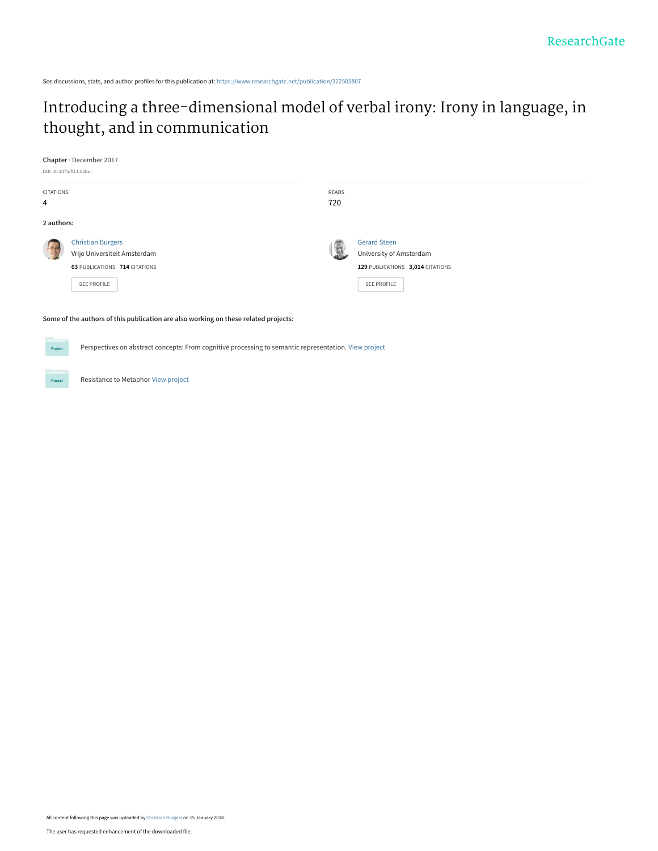# [Introducing a three-dimensional model of verbal irony: Irony in language, in](https://www.researchgate.net/publication/322505807_Introducing_a_three-dimensional_model_of_verbal_irony_Irony_in_language_in_thought_and_in_communication?enrichId=rgreq-2f16c30c665bf645a6a86833a7939ad9-XXX&enrichSource=Y292ZXJQYWdlOzMyMjUwNTgwNztBUzo1ODMwODEzNzI0NTkwMTBAMTUxNjAyODg0MDkwNQ%3D%3D&el=1_x_3&_esc=publicationCoverPdf) thought, and in communication

**Chapter** · December 2017

DOI: 10.1075/ftl.1.05bur

Project

| <b>CITATIONS</b><br>4 |                                                                                                          | READS<br>720 |                                                                                                          |
|-----------------------|----------------------------------------------------------------------------------------------------------|--------------|----------------------------------------------------------------------------------------------------------|
| 2 authors:            |                                                                                                          |              |                                                                                                          |
|                       | <b>Christian Burgers</b><br>Vrije Universiteit Amsterdam<br>63 PUBLICATIONS 714 CITATIONS<br>SEE PROFILE |              | <b>Gerard Steen</b><br>University of Amsterdam<br>129 PUBLICATIONS 3,014 CITATIONS<br><b>SEE PROFILE</b> |

#### **Some of the authors of this publication are also working on these related projects:**

Perspectives on abstract concepts: From cognitive processing to semantic representation. [View project](https://www.researchgate.net/project/Perspectives-on-abstract-concepts-From-cognitive-processing-to-semantic-representation?enrichId=rgreq-2f16c30c665bf645a6a86833a7939ad9-XXX&enrichSource=Y292ZXJQYWdlOzMyMjUwNTgwNztBUzo1ODMwODEzNzI0NTkwMTBAMTUxNjAyODg0MDkwNQ%3D%3D&el=1_x_9&_esc=publicationCoverPdf) **Project** 

Resistance to Metaphor [View project](https://www.researchgate.net/project/Resistance-to-Metaphor?enrichId=rgreq-2f16c30c665bf645a6a86833a7939ad9-XXX&enrichSource=Y292ZXJQYWdlOzMyMjUwNTgwNztBUzo1ODMwODEzNzI0NTkwMTBAMTUxNjAyODg0MDkwNQ%3D%3D&el=1_x_9&_esc=publicationCoverPdf)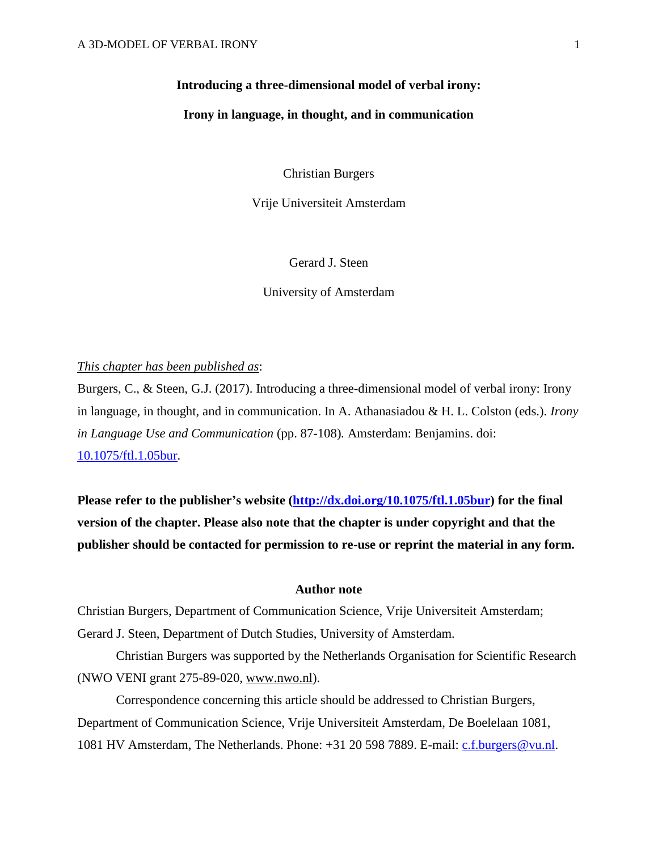# **Introducing a three-dimensional model of verbal irony:**

# **Irony in language, in thought, and in communication**

Christian Burgers

Vrije Universiteit Amsterdam

Gerard J. Steen

University of Amsterdam

# *This chapter has been published as*:

Burgers, C., & Steen, G.J. (2017). Introducing a three-dimensional model of verbal irony: Irony in language, in thought, and in communication. In A. Athanasiadou & H. L. Colston (eds.). *Irony in Language Use and Communication* (pp. 87-108)*.* Amsterdam: Benjamins. doi: [10.1075/ftl.1.05bur.](http://dx.doi.org/10.1075/ftl.1.05bur)

**Please refer to the publisher's website [\(http://dx.doi.org/10.1075/ftl.1.05bur\)](http://dx.doi.org/10.1075/ftl.1.05bur) for the final version of the chapter. Please also note that the chapter is under copyright and that the publisher should be contacted for permission to re-use or reprint the material in any form.**

#### **Author note**

Christian Burgers, Department of Communication Science, Vrije Universiteit Amsterdam; Gerard J. Steen, Department of Dutch Studies, University of Amsterdam.

Christian Burgers was supported by the Netherlands Organisation for Scientific Research (NWO VENI grant 275-89-020, [www.nwo.nl\)](http://www.nwo.nl/).

Correspondence concerning this article should be addressed to Christian Burgers, Department of Communication Science, Vrije Universiteit Amsterdam, De Boelelaan 1081, 1081 HV Amsterdam, The Netherlands. Phone: +31 20 598 7889. E-mail: [c.f.burgers@vu.nl.](mailto:c.f.burgers@vu.nl)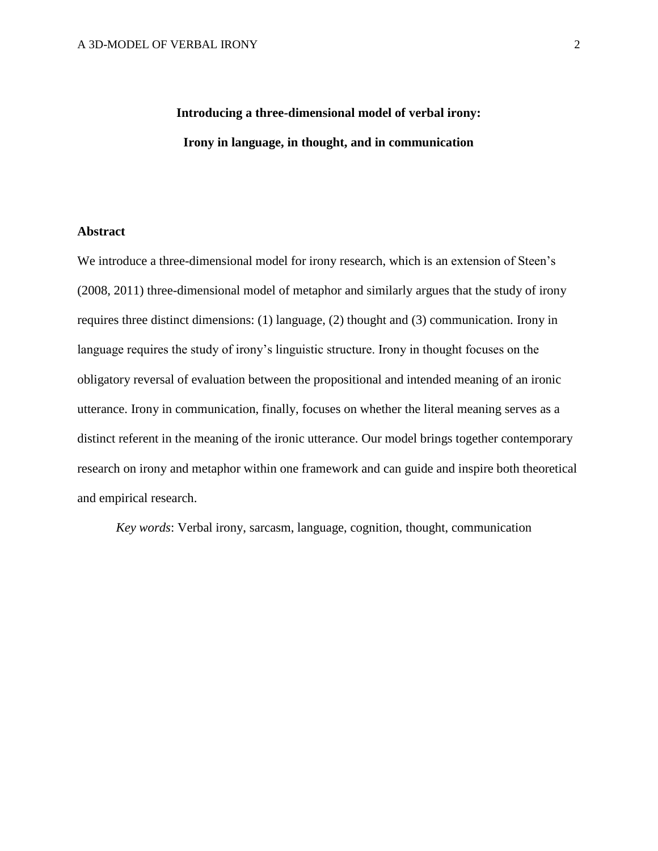# **Introducing a three-dimensional model of verbal irony: Irony in language, in thought, and in communication**

# **Abstract**

We introduce a three-dimensional model for irony research, which is an extension of Steen's (2008, 2011) three-dimensional model of metaphor and similarly argues that the study of irony requires three distinct dimensions: (1) language, (2) thought and (3) communication. Irony in language requires the study of irony's linguistic structure. Irony in thought focuses on the obligatory reversal of evaluation between the propositional and intended meaning of an ironic utterance. Irony in communication, finally, focuses on whether the literal meaning serves as a distinct referent in the meaning of the ironic utterance. Our model brings together contemporary research on irony and metaphor within one framework and can guide and inspire both theoretical and empirical research.

*Key words*: Verbal irony, sarcasm, language, cognition, thought, communication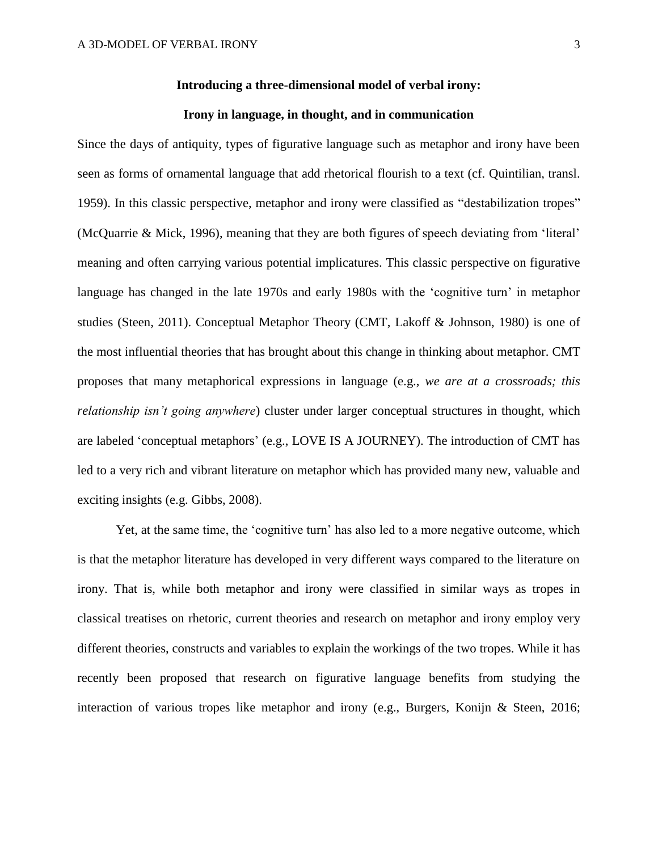# **Introducing a three-dimensional model of verbal irony:**

# **Irony in language, in thought, and in communication**

Since the days of antiquity, types of figurative language such as metaphor and irony have been seen as forms of ornamental language that add rhetorical flourish to a text (cf. Quintilian, transl. 1959). In this classic perspective, metaphor and irony were classified as "destabilization tropes" (McQuarrie & Mick, 1996), meaning that they are both figures of speech deviating from 'literal' meaning and often carrying various potential implicatures. This classic perspective on figurative language has changed in the late 1970s and early 1980s with the 'cognitive turn' in metaphor studies (Steen, 2011). Conceptual Metaphor Theory (CMT, Lakoff & Johnson, 1980) is one of the most influential theories that has brought about this change in thinking about metaphor. CMT proposes that many metaphorical expressions in language (e.g., *we are at a crossroads; this relationship isn't going anywhere*) cluster under larger conceptual structures in thought, which are labeled 'conceptual metaphors' (e.g., LOVE IS A JOURNEY). The introduction of CMT has led to a very rich and vibrant literature on metaphor which has provided many new, valuable and exciting insights (e.g. Gibbs, 2008).

Yet, at the same time, the 'cognitive turn' has also led to a more negative outcome, which is that the metaphor literature has developed in very different ways compared to the literature on irony. That is, while both metaphor and irony were classified in similar ways as tropes in classical treatises on rhetoric, current theories and research on metaphor and irony employ very different theories, constructs and variables to explain the workings of the two tropes. While it has recently been proposed that research on figurative language benefits from studying the interaction of various tropes like metaphor and irony (e.g., Burgers, Konijn & Steen, 2016;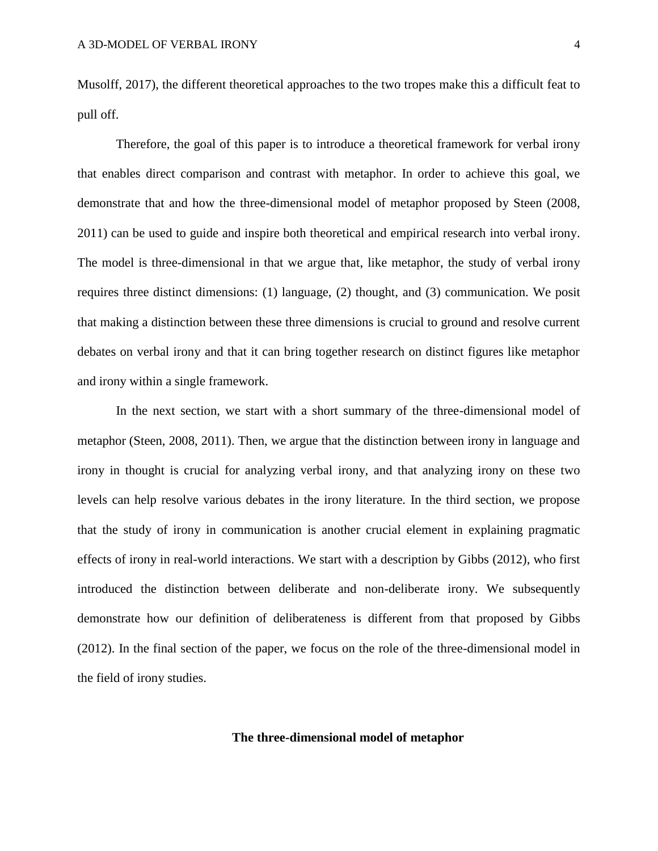Musolff, 2017), the different theoretical approaches to the two tropes make this a difficult feat to pull off.

Therefore, the goal of this paper is to introduce a theoretical framework for verbal irony that enables direct comparison and contrast with metaphor. In order to achieve this goal, we demonstrate that and how the three-dimensional model of metaphor proposed by Steen (2008, 2011) can be used to guide and inspire both theoretical and empirical research into verbal irony. The model is three-dimensional in that we argue that, like metaphor, the study of verbal irony requires three distinct dimensions: (1) language, (2) thought, and (3) communication. We posit that making a distinction between these three dimensions is crucial to ground and resolve current debates on verbal irony and that it can bring together research on distinct figures like metaphor and irony within a single framework.

In the next section, we start with a short summary of the three-dimensional model of metaphor (Steen, 2008, 2011). Then, we argue that the distinction between irony in language and irony in thought is crucial for analyzing verbal irony, and that analyzing irony on these two levels can help resolve various debates in the irony literature. In the third section, we propose that the study of irony in communication is another crucial element in explaining pragmatic effects of irony in real-world interactions. We start with a description by Gibbs (2012), who first introduced the distinction between deliberate and non-deliberate irony. We subsequently demonstrate how our definition of deliberateness is different from that proposed by Gibbs (2012). In the final section of the paper, we focus on the role of the three-dimensional model in the field of irony studies.

# **The three-dimensional model of metaphor**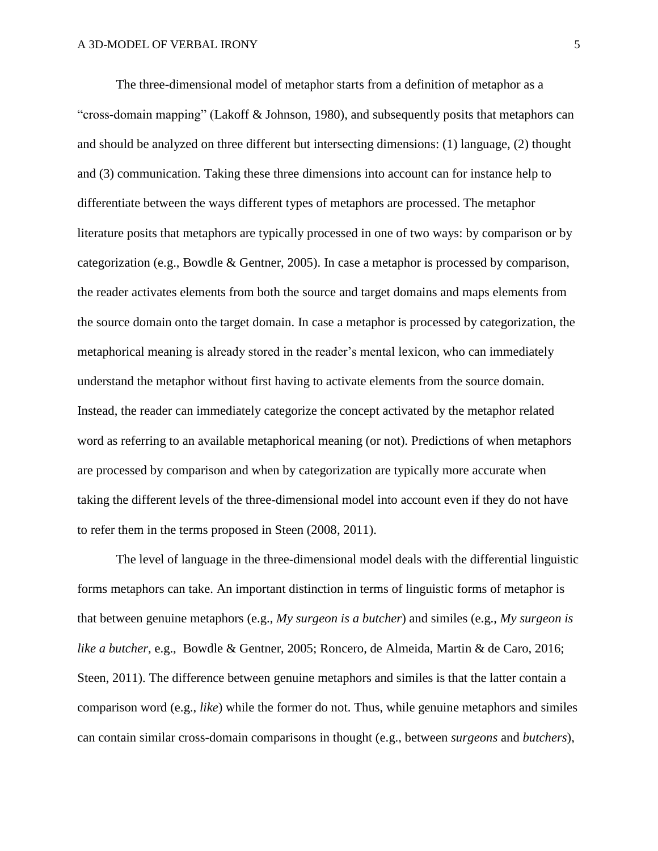The three-dimensional model of metaphor starts from a definition of metaphor as a "cross-domain mapping" (Lakoff  $\&$  Johnson, 1980), and subsequently posits that metaphors can and should be analyzed on three different but intersecting dimensions: (1) language, (2) thought and (3) communication. Taking these three dimensions into account can for instance help to differentiate between the ways different types of metaphors are processed. The metaphor literature posits that metaphors are typically processed in one of two ways: by comparison or by categorization (e.g., Bowdle & Gentner, 2005). In case a metaphor is processed by comparison, the reader activates elements from both the source and target domains and maps elements from the source domain onto the target domain. In case a metaphor is processed by categorization, the metaphorical meaning is already stored in the reader's mental lexicon, who can immediately understand the metaphor without first having to activate elements from the source domain. Instead, the reader can immediately categorize the concept activated by the metaphor related word as referring to an available metaphorical meaning (or not). Predictions of when metaphors are processed by comparison and when by categorization are typically more accurate when taking the different levels of the three-dimensional model into account even if they do not have to refer them in the terms proposed in Steen (2008, 2011).

The level of language in the three-dimensional model deals with the differential linguistic forms metaphors can take. An important distinction in terms of linguistic forms of metaphor is that between genuine metaphors (e.g., *My surgeon is a butcher*) and similes (e.g., *My surgeon is like a butcher,* e.g., Bowdle & Gentner, 2005; Roncero, de Almeida, Martin & de Caro, 2016; Steen, 2011). The difference between genuine metaphors and similes is that the latter contain a comparison word (e.g., *like*) while the former do not. Thus, while genuine metaphors and similes can contain similar cross-domain comparisons in thought (e.g., between *surgeons* and *butchers*),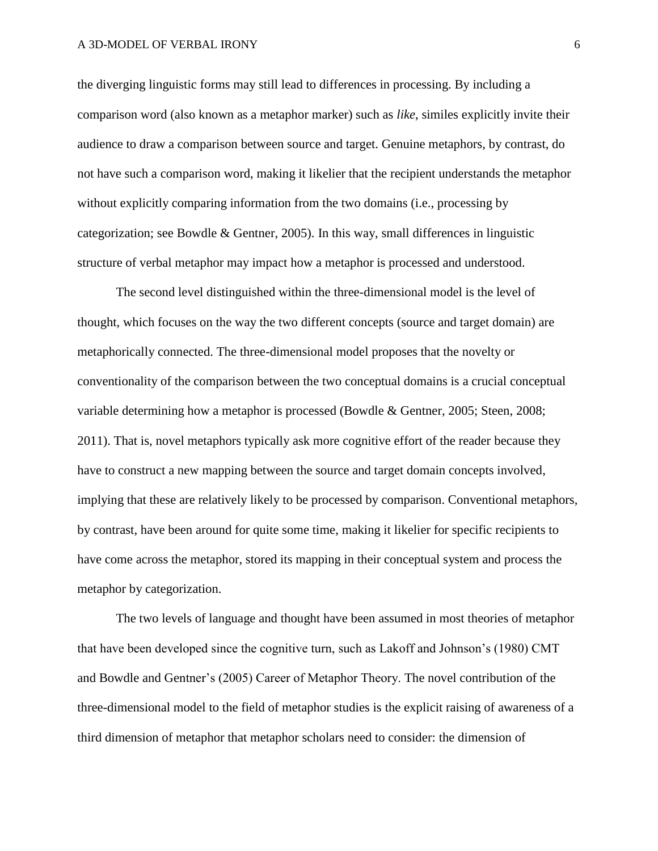the diverging linguistic forms may still lead to differences in processing. By including a comparison word (also known as a metaphor marker) such as *like*, similes explicitly invite their audience to draw a comparison between source and target. Genuine metaphors, by contrast, do not have such a comparison word, making it likelier that the recipient understands the metaphor without explicitly comparing information from the two domains (i.e., processing by categorization; see Bowdle & Gentner, 2005). In this way, small differences in linguistic structure of verbal metaphor may impact how a metaphor is processed and understood.

The second level distinguished within the three-dimensional model is the level of thought, which focuses on the way the two different concepts (source and target domain) are metaphorically connected. The three-dimensional model proposes that the novelty or conventionality of the comparison between the two conceptual domains is a crucial conceptual variable determining how a metaphor is processed (Bowdle & Gentner, 2005; Steen, 2008; 2011). That is, novel metaphors typically ask more cognitive effort of the reader because they have to construct a new mapping between the source and target domain concepts involved, implying that these are relatively likely to be processed by comparison. Conventional metaphors, by contrast, have been around for quite some time, making it likelier for specific recipients to have come across the metaphor, stored its mapping in their conceptual system and process the metaphor by categorization.

The two levels of language and thought have been assumed in most theories of metaphor that have been developed since the cognitive turn, such as Lakoff and Johnson's (1980) CMT and Bowdle and Gentner's (2005) Career of Metaphor Theory. The novel contribution of the three-dimensional model to the field of metaphor studies is the explicit raising of awareness of a third dimension of metaphor that metaphor scholars need to consider: the dimension of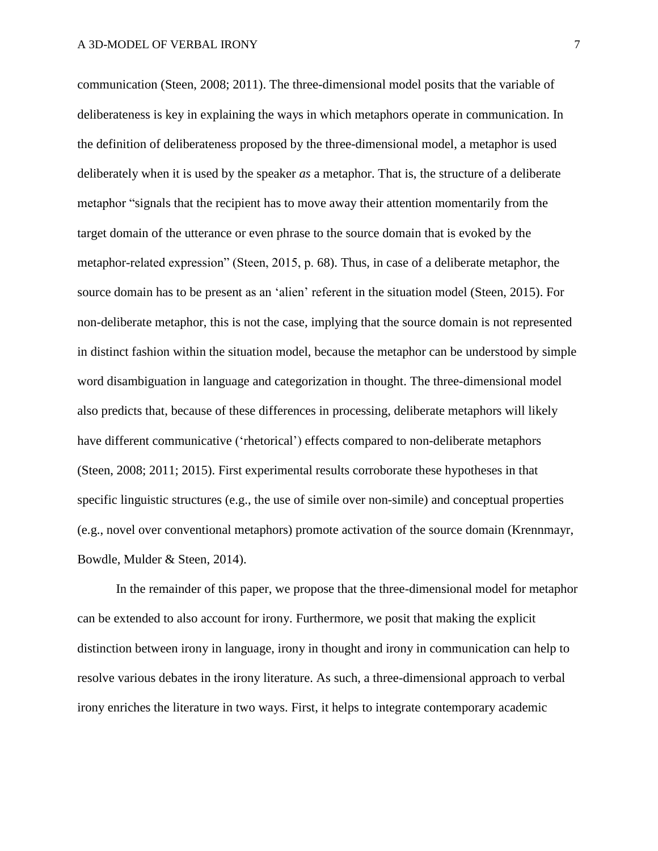communication (Steen, 2008; 2011). The three-dimensional model posits that the variable of deliberateness is key in explaining the ways in which metaphors operate in communication. In the definition of deliberateness proposed by the three-dimensional model, a metaphor is used deliberately when it is used by the speaker *as* a metaphor. That is, the structure of a deliberate metaphor "signals that the recipient has to move away their attention momentarily from the target domain of the utterance or even phrase to the source domain that is evoked by the metaphor-related expression" (Steen, 2015, p. 68). Thus, in case of a deliberate metaphor, the source domain has to be present as an 'alien' referent in the situation model (Steen, 2015). For non-deliberate metaphor, this is not the case, implying that the source domain is not represented in distinct fashion within the situation model, because the metaphor can be understood by simple word disambiguation in language and categorization in thought. The three-dimensional model also predicts that, because of these differences in processing, deliberate metaphors will likely have different communicative ('rhetorical') effects compared to non-deliberate metaphors (Steen, 2008; 2011; 2015). First experimental results corroborate these hypotheses in that specific linguistic structures (e.g., the use of simile over non-simile) and conceptual properties (e.g., novel over conventional metaphors) promote activation of the source domain (Krennmayr, Bowdle, Mulder & Steen, 2014).

In the remainder of this paper, we propose that the three-dimensional model for metaphor can be extended to also account for irony. Furthermore, we posit that making the explicit distinction between irony in language, irony in thought and irony in communication can help to resolve various debates in the irony literature. As such, a three-dimensional approach to verbal irony enriches the literature in two ways. First, it helps to integrate contemporary academic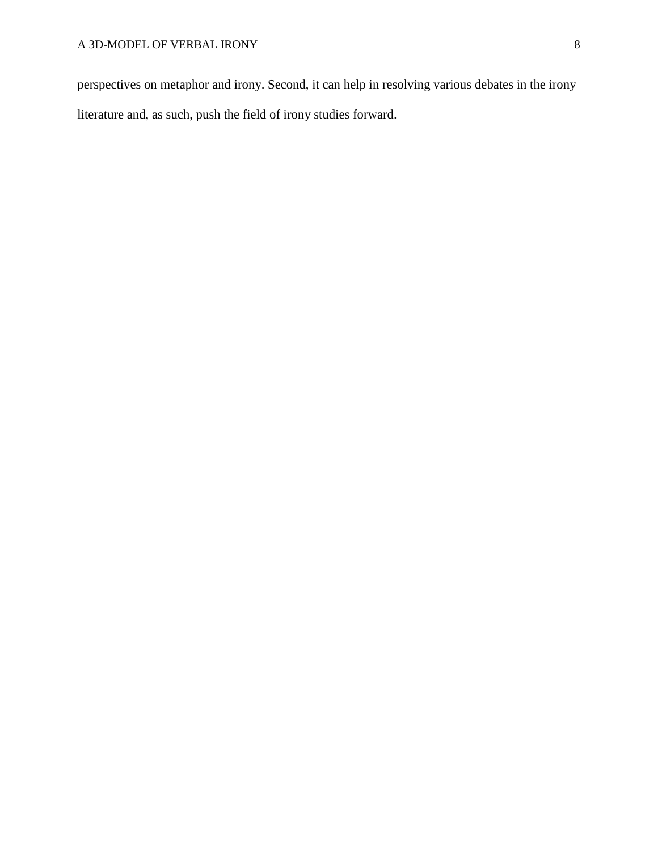perspectives on metaphor and irony. Second, it can help in resolving various debates in the irony literature and, as such, push the field of irony studies forward.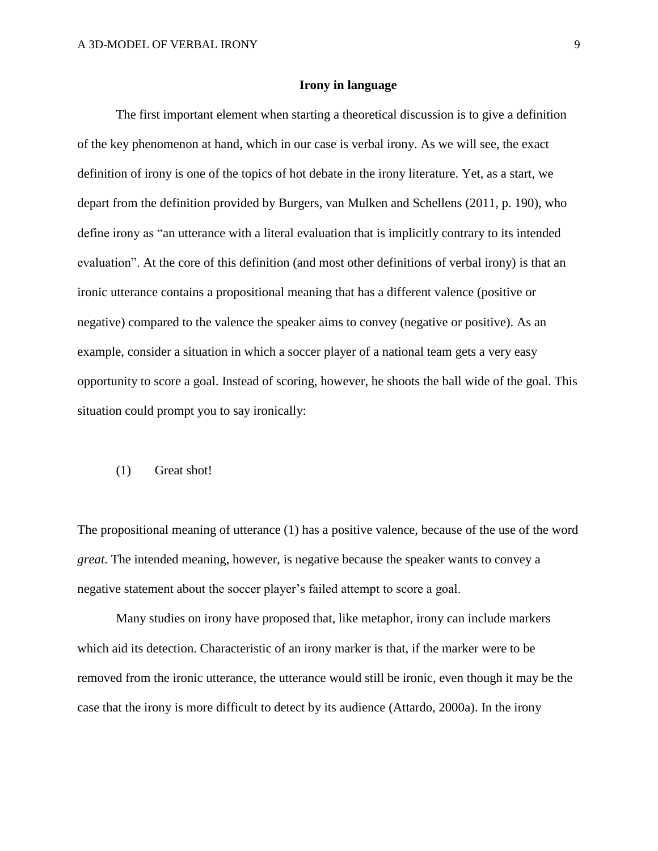# **Irony in language**

The first important element when starting a theoretical discussion is to give a definition of the key phenomenon at hand, which in our case is verbal irony. As we will see, the exact definition of irony is one of the topics of hot debate in the irony literature. Yet, as a start, we depart from the definition provided by Burgers, van Mulken and Schellens (2011, p. 190), who define irony as "an utterance with a literal evaluation that is implicitly contrary to its intended evaluation". At the core of this definition (and most other definitions of verbal irony) is that an ironic utterance contains a propositional meaning that has a different valence (positive or negative) compared to the valence the speaker aims to convey (negative or positive). As an example, consider a situation in which a soccer player of a national team gets a very easy opportunity to score a goal. Instead of scoring, however, he shoots the ball wide of the goal. This situation could prompt you to say ironically:

#### (1) Great shot!

The propositional meaning of utterance (1) has a positive valence, because of the use of the word *great*. The intended meaning, however, is negative because the speaker wants to convey a negative statement about the soccer player's failed attempt to score a goal.

Many studies on irony have proposed that, like metaphor, irony can include markers which aid its detection. Characteristic of an irony marker is that, if the marker were to be removed from the ironic utterance, the utterance would still be ironic, even though it may be the case that the irony is more difficult to detect by its audience (Attardo, 2000a). In the irony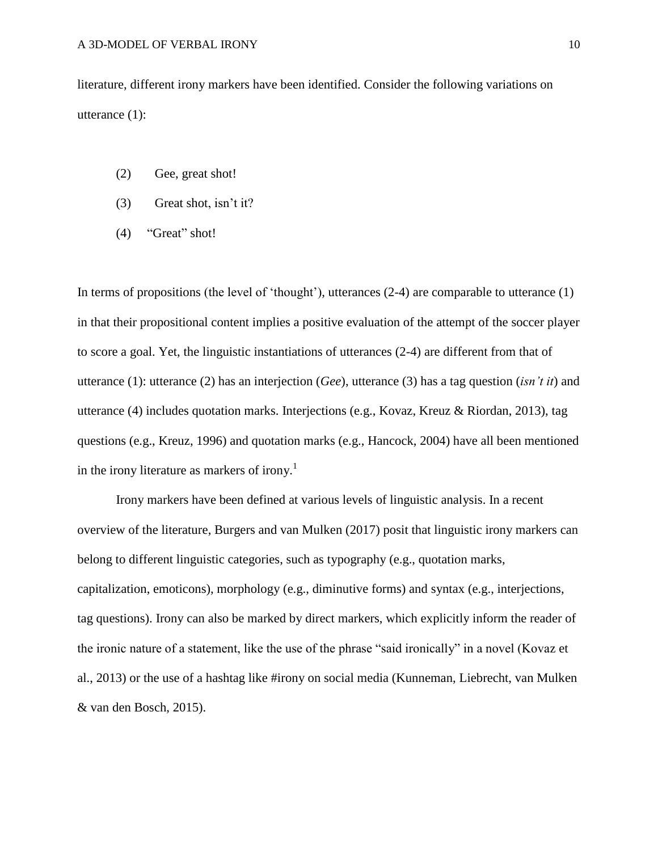literature, different irony markers have been identified. Consider the following variations on utterance (1):

- (2) Gee, great shot!
- (3) Great shot, isn't it?
- (4) "Great" shot!

In terms of propositions (the level of 'thought'), utterances (2-4) are comparable to utterance (1) in that their propositional content implies a positive evaluation of the attempt of the soccer player to score a goal. Yet, the linguistic instantiations of utterances (2-4) are different from that of utterance (1): utterance (2) has an interjection (*Gee*), utterance (3) has a tag question (*isn't it*) and utterance (4) includes quotation marks. Interjections (e.g., Kovaz, Kreuz & Riordan, 2013), tag questions (e.g., Kreuz, 1996) and quotation marks (e.g., Hancock, 2004) have all been mentioned in the irony literature as markers of irony.<sup>1</sup>

Irony markers have been defined at various levels of linguistic analysis. In a recent overview of the literature, Burgers and van Mulken (2017) posit that linguistic irony markers can belong to different linguistic categories, such as typography (e.g., quotation marks, capitalization, emoticons), morphology (e.g., diminutive forms) and syntax (e.g., interjections, tag questions). Irony can also be marked by direct markers, which explicitly inform the reader of the ironic nature of a statement, like the use of the phrase "said ironically" in a novel (Kovaz et al., 2013) or the use of a hashtag like #irony on social media (Kunneman, Liebrecht, van Mulken & van den Bosch, 2015).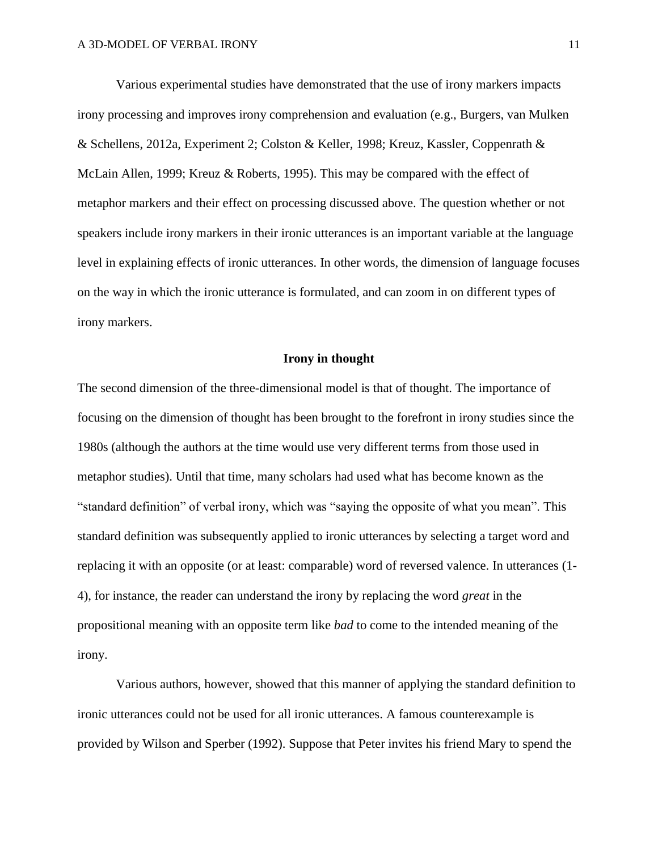Various experimental studies have demonstrated that the use of irony markers impacts irony processing and improves irony comprehension and evaluation (e.g., Burgers, van Mulken & Schellens, 2012a, Experiment 2; Colston & Keller, 1998; Kreuz, Kassler, Coppenrath & McLain Allen, 1999; Kreuz & Roberts, 1995). This may be compared with the effect of metaphor markers and their effect on processing discussed above. The question whether or not speakers include irony markers in their ironic utterances is an important variable at the language level in explaining effects of ironic utterances. In other words, the dimension of language focuses on the way in which the ironic utterance is formulated, and can zoom in on different types of irony markers.

### **Irony in thought**

The second dimension of the three-dimensional model is that of thought. The importance of focusing on the dimension of thought has been brought to the forefront in irony studies since the 1980s (although the authors at the time would use very different terms from those used in metaphor studies). Until that time, many scholars had used what has become known as the "standard definition" of verbal irony, which was "saying the opposite of what you mean". This standard definition was subsequently applied to ironic utterances by selecting a target word and replacing it with an opposite (or at least: comparable) word of reversed valence. In utterances (1- 4), for instance, the reader can understand the irony by replacing the word *great* in the propositional meaning with an opposite term like *bad* to come to the intended meaning of the irony.

Various authors, however, showed that this manner of applying the standard definition to ironic utterances could not be used for all ironic utterances. A famous counterexample is provided by Wilson and Sperber (1992). Suppose that Peter invites his friend Mary to spend the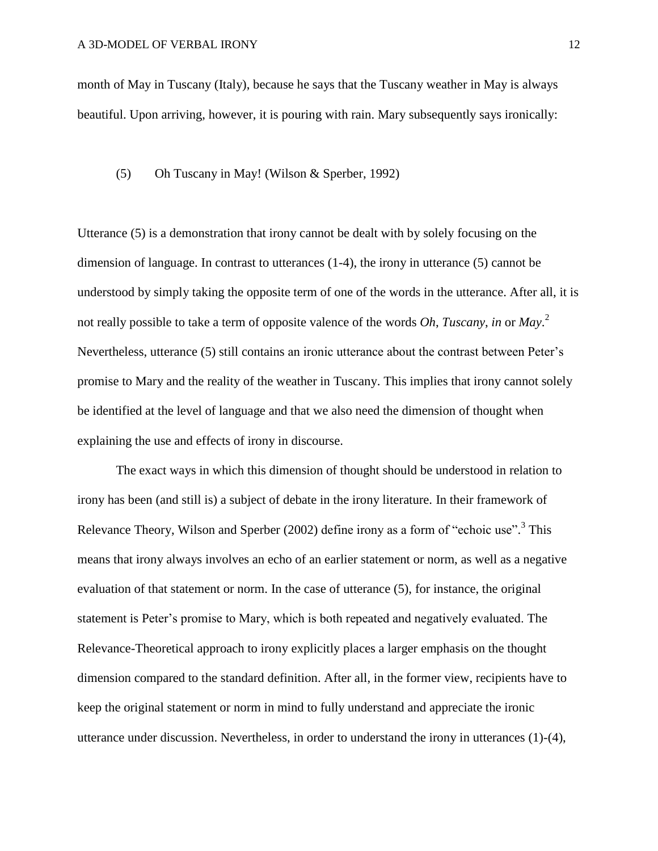month of May in Tuscany (Italy), because he says that the Tuscany weather in May is always beautiful. Upon arriving, however, it is pouring with rain. Mary subsequently says ironically:

#### (5) Oh Tuscany in May! (Wilson & Sperber, 1992)

Utterance (5) is a demonstration that irony cannot be dealt with by solely focusing on the dimension of language. In contrast to utterances (1-4), the irony in utterance (5) cannot be understood by simply taking the opposite term of one of the words in the utterance. After all, it is not really possible to take a term of opposite valence of the words *Oh*, *Tuscany*, *in* or *May*. 2 Nevertheless, utterance (5) still contains an ironic utterance about the contrast between Peter's promise to Mary and the reality of the weather in Tuscany. This implies that irony cannot solely be identified at the level of language and that we also need the dimension of thought when explaining the use and effects of irony in discourse.

The exact ways in which this dimension of thought should be understood in relation to irony has been (and still is) a subject of debate in the irony literature. In their framework of Relevance Theory, Wilson and Sperber (2002) define irony as a form of "echoic use".<sup>3</sup> This means that irony always involves an echo of an earlier statement or norm, as well as a negative evaluation of that statement or norm. In the case of utterance (5), for instance, the original statement is Peter's promise to Mary, which is both repeated and negatively evaluated. The Relevance-Theoretical approach to irony explicitly places a larger emphasis on the thought dimension compared to the standard definition. After all, in the former view, recipients have to keep the original statement or norm in mind to fully understand and appreciate the ironic utterance under discussion. Nevertheless, in order to understand the irony in utterances (1)-(4),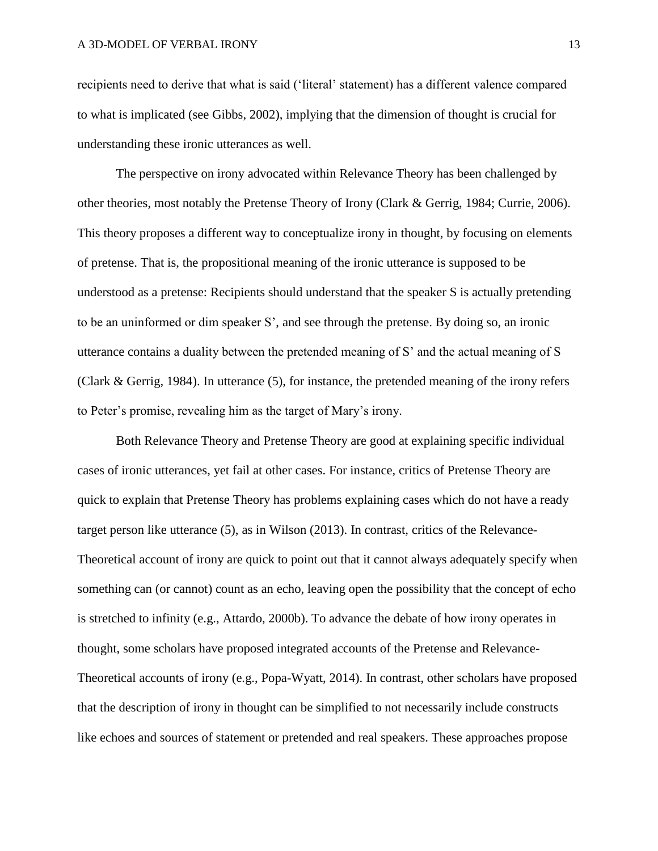recipients need to derive that what is said ('literal' statement) has a different valence compared to what is implicated (see Gibbs, 2002), implying that the dimension of thought is crucial for understanding these ironic utterances as well.

The perspective on irony advocated within Relevance Theory has been challenged by other theories, most notably the Pretense Theory of Irony (Clark & Gerrig, 1984; Currie, 2006). This theory proposes a different way to conceptualize irony in thought, by focusing on elements of pretense. That is, the propositional meaning of the ironic utterance is supposed to be understood as a pretense: Recipients should understand that the speaker S is actually pretending to be an uninformed or dim speaker S', and see through the pretense. By doing so, an ironic utterance contains a duality between the pretended meaning of S' and the actual meaning of S (Clark & Gerrig, 1984). In utterance (5), for instance, the pretended meaning of the irony refers to Peter's promise, revealing him as the target of Mary's irony.

Both Relevance Theory and Pretense Theory are good at explaining specific individual cases of ironic utterances, yet fail at other cases. For instance, critics of Pretense Theory are quick to explain that Pretense Theory has problems explaining cases which do not have a ready target person like utterance (5), as in Wilson (2013). In contrast, critics of the Relevance-Theoretical account of irony are quick to point out that it cannot always adequately specify when something can (or cannot) count as an echo, leaving open the possibility that the concept of echo is stretched to infinity (e.g., Attardo, 2000b). To advance the debate of how irony operates in thought, some scholars have proposed integrated accounts of the Pretense and Relevance-Theoretical accounts of irony (e.g., Popa-Wyatt, 2014). In contrast, other scholars have proposed that the description of irony in thought can be simplified to not necessarily include constructs like echoes and sources of statement or pretended and real speakers. These approaches propose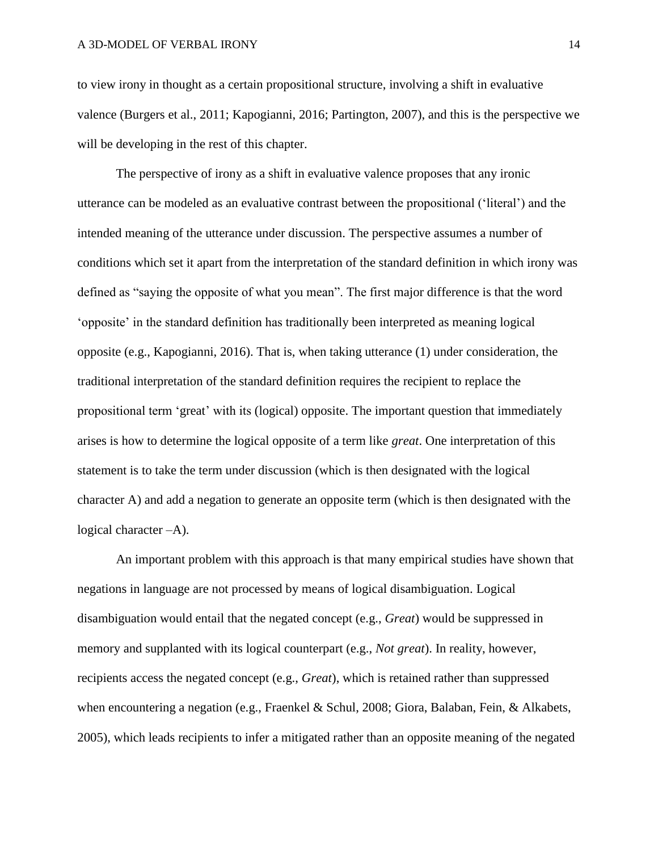to view irony in thought as a certain propositional structure, involving a shift in evaluative valence (Burgers et al., 2011; Kapogianni, 2016; Partington, 2007), and this is the perspective we will be developing in the rest of this chapter.

The perspective of irony as a shift in evaluative valence proposes that any ironic utterance can be modeled as an evaluative contrast between the propositional ('literal') and the intended meaning of the utterance under discussion. The perspective assumes a number of conditions which set it apart from the interpretation of the standard definition in which irony was defined as "saying the opposite of what you mean". The first major difference is that the word 'opposite' in the standard definition has traditionally been interpreted as meaning logical opposite (e.g., Kapogianni, 2016). That is, when taking utterance (1) under consideration, the traditional interpretation of the standard definition requires the recipient to replace the propositional term 'great' with its (logical) opposite. The important question that immediately arises is how to determine the logical opposite of a term like *great*. One interpretation of this statement is to take the term under discussion (which is then designated with the logical character A) and add a negation to generate an opposite term (which is then designated with the logical character –A).

An important problem with this approach is that many empirical studies have shown that negations in language are not processed by means of logical disambiguation. Logical disambiguation would entail that the negated concept (e.g., *Great*) would be suppressed in memory and supplanted with its logical counterpart (e.g., *Not great*). In reality, however, recipients access the negated concept (e.g., *Great*), which is retained rather than suppressed when encountering a negation (e.g., Fraenkel & Schul, 2008; Giora, Balaban, Fein, & Alkabets, 2005), which leads recipients to infer a mitigated rather than an opposite meaning of the negated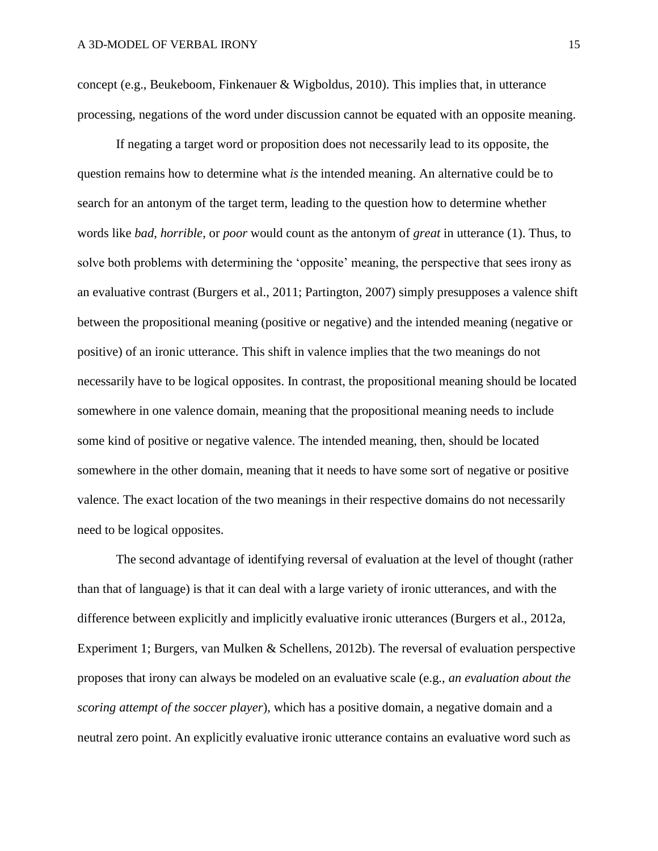concept (e.g., Beukeboom, Finkenauer & Wigboldus, 2010). This implies that, in utterance processing, negations of the word under discussion cannot be equated with an opposite meaning.

If negating a target word or proposition does not necessarily lead to its opposite, the question remains how to determine what *is* the intended meaning. An alternative could be to search for an antonym of the target term, leading to the question how to determine whether words like *bad*, *horrible*, or *poor* would count as the antonym of *great* in utterance (1). Thus, to solve both problems with determining the 'opposite' meaning, the perspective that sees irony as an evaluative contrast (Burgers et al., 2011; Partington, 2007) simply presupposes a valence shift between the propositional meaning (positive or negative) and the intended meaning (negative or positive) of an ironic utterance. This shift in valence implies that the two meanings do not necessarily have to be logical opposites. In contrast, the propositional meaning should be located somewhere in one valence domain, meaning that the propositional meaning needs to include some kind of positive or negative valence. The intended meaning, then, should be located somewhere in the other domain, meaning that it needs to have some sort of negative or positive valence. The exact location of the two meanings in their respective domains do not necessarily need to be logical opposites.

The second advantage of identifying reversal of evaluation at the level of thought (rather than that of language) is that it can deal with a large variety of ironic utterances, and with the difference between explicitly and implicitly evaluative ironic utterances (Burgers et al., 2012a, Experiment 1; Burgers, van Mulken & Schellens, 2012b). The reversal of evaluation perspective proposes that irony can always be modeled on an evaluative scale (e.g., *an evaluation about the scoring attempt of the soccer player*), which has a positive domain, a negative domain and a neutral zero point. An explicitly evaluative ironic utterance contains an evaluative word such as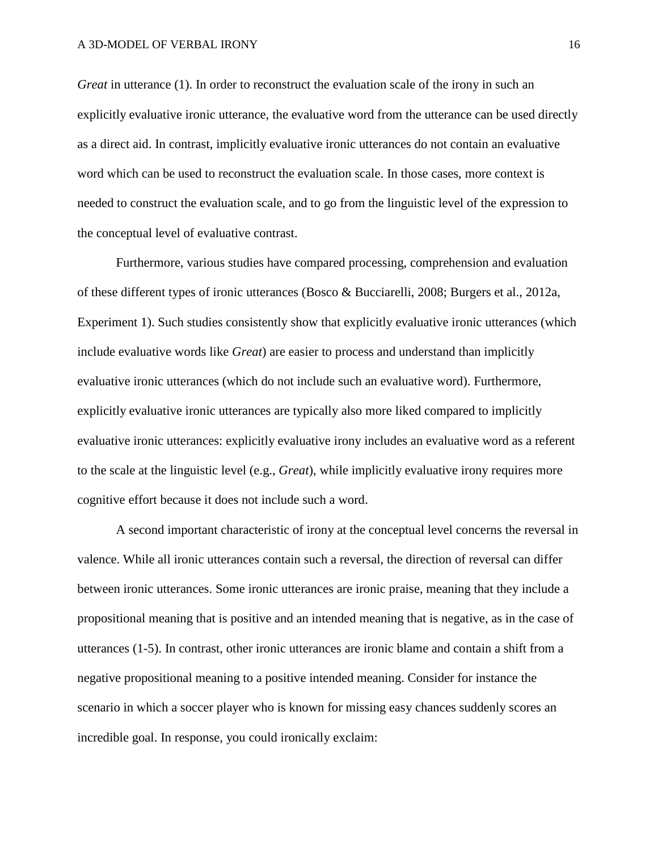*Great* in utterance (1). In order to reconstruct the evaluation scale of the irony in such an explicitly evaluative ironic utterance, the evaluative word from the utterance can be used directly as a direct aid. In contrast, implicitly evaluative ironic utterances do not contain an evaluative word which can be used to reconstruct the evaluation scale. In those cases, more context is needed to construct the evaluation scale, and to go from the linguistic level of the expression to the conceptual level of evaluative contrast.

Furthermore, various studies have compared processing, comprehension and evaluation of these different types of ironic utterances (Bosco & Bucciarelli, 2008; Burgers et al., 2012a, Experiment 1). Such studies consistently show that explicitly evaluative ironic utterances (which include evaluative words like *Great*) are easier to process and understand than implicitly evaluative ironic utterances (which do not include such an evaluative word). Furthermore, explicitly evaluative ironic utterances are typically also more liked compared to implicitly evaluative ironic utterances: explicitly evaluative irony includes an evaluative word as a referent to the scale at the linguistic level (e.g., *Great*), while implicitly evaluative irony requires more cognitive effort because it does not include such a word.

A second important characteristic of irony at the conceptual level concerns the reversal in valence. While all ironic utterances contain such a reversal, the direction of reversal can differ between ironic utterances. Some ironic utterances are ironic praise, meaning that they include a propositional meaning that is positive and an intended meaning that is negative, as in the case of utterances (1-5). In contrast, other ironic utterances are ironic blame and contain a shift from a negative propositional meaning to a positive intended meaning. Consider for instance the scenario in which a soccer player who is known for missing easy chances suddenly scores an incredible goal. In response, you could ironically exclaim: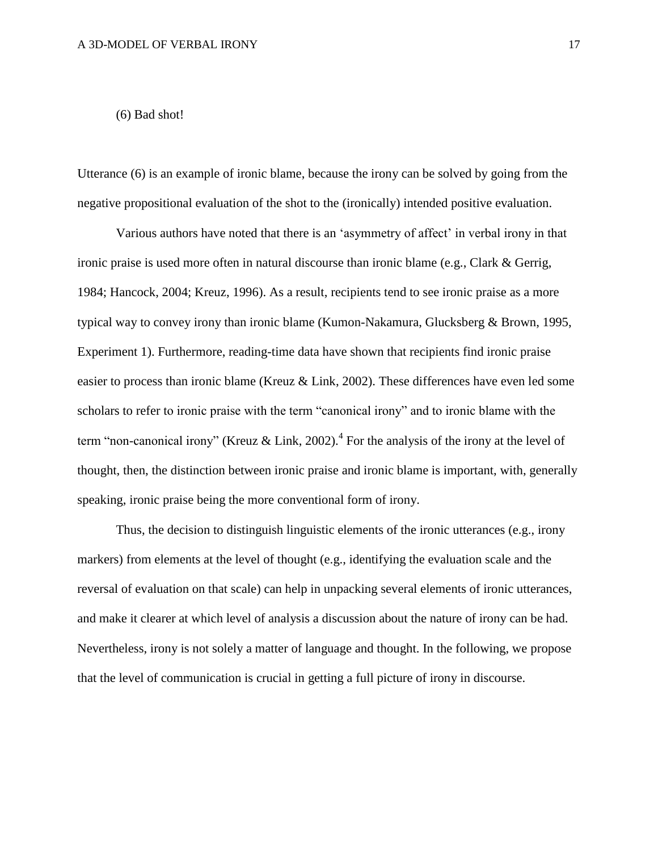# (6) Bad shot!

Utterance (6) is an example of ironic blame, because the irony can be solved by going from the negative propositional evaluation of the shot to the (ironically) intended positive evaluation.

Various authors have noted that there is an 'asymmetry of affect' in verbal irony in that ironic praise is used more often in natural discourse than ironic blame (e.g., Clark & Gerrig, 1984; Hancock, 2004; Kreuz, 1996). As a result, recipients tend to see ironic praise as a more typical way to convey irony than ironic blame (Kumon-Nakamura, Glucksberg & Brown, 1995, Experiment 1). Furthermore, reading-time data have shown that recipients find ironic praise easier to process than ironic blame (Kreuz & Link, 2002). These differences have even led some scholars to refer to ironic praise with the term "canonical irony" and to ironic blame with the term "non-canonical irony" (Kreuz & Link, 2002).<sup>4</sup> For the analysis of the irony at the level of thought, then, the distinction between ironic praise and ironic blame is important, with, generally speaking, ironic praise being the more conventional form of irony.

Thus, the decision to distinguish linguistic elements of the ironic utterances (e.g., irony markers) from elements at the level of thought (e.g., identifying the evaluation scale and the reversal of evaluation on that scale) can help in unpacking several elements of ironic utterances, and make it clearer at which level of analysis a discussion about the nature of irony can be had. Nevertheless, irony is not solely a matter of language and thought. In the following, we propose that the level of communication is crucial in getting a full picture of irony in discourse.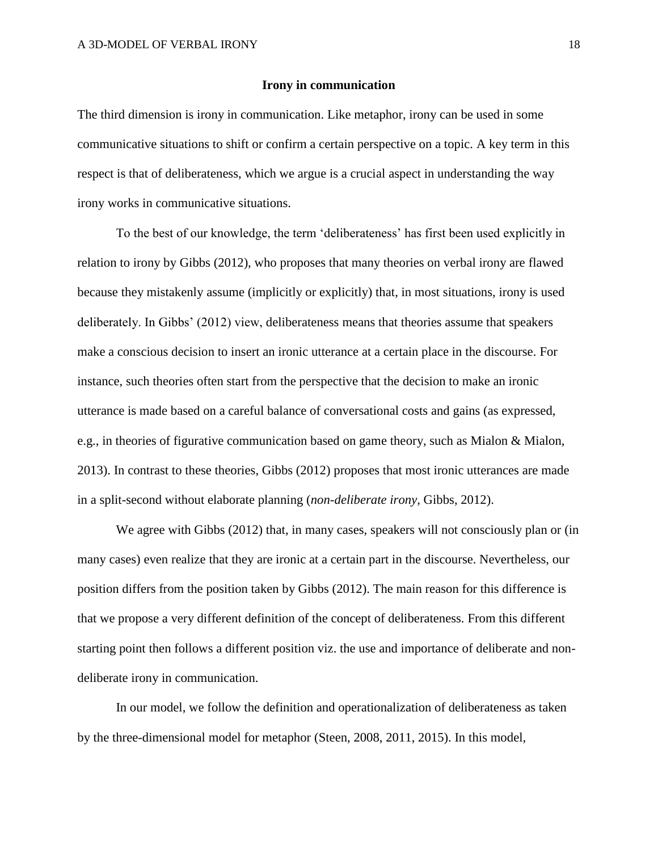### **Irony in communication**

The third dimension is irony in communication. Like metaphor, irony can be used in some communicative situations to shift or confirm a certain perspective on a topic. A key term in this respect is that of deliberateness, which we argue is a crucial aspect in understanding the way irony works in communicative situations.

To the best of our knowledge, the term 'deliberateness' has first been used explicitly in relation to irony by Gibbs (2012), who proposes that many theories on verbal irony are flawed because they mistakenly assume (implicitly or explicitly) that, in most situations, irony is used deliberately. In Gibbs' (2012) view, deliberateness means that theories assume that speakers make a conscious decision to insert an ironic utterance at a certain place in the discourse. For instance, such theories often start from the perspective that the decision to make an ironic utterance is made based on a careful balance of conversational costs and gains (as expressed, e.g., in theories of figurative communication based on game theory, such as Mialon & Mialon, 2013). In contrast to these theories, Gibbs (2012) proposes that most ironic utterances are made in a split-second without elaborate planning (*non-deliberate irony,* Gibbs, 2012).

We agree with Gibbs (2012) that, in many cases, speakers will not consciously plan or (in many cases) even realize that they are ironic at a certain part in the discourse. Nevertheless, our position differs from the position taken by Gibbs (2012). The main reason for this difference is that we propose a very different definition of the concept of deliberateness. From this different starting point then follows a different position viz. the use and importance of deliberate and nondeliberate irony in communication.

In our model, we follow the definition and operationalization of deliberateness as taken by the three-dimensional model for metaphor (Steen, 2008, 2011, 2015). In this model,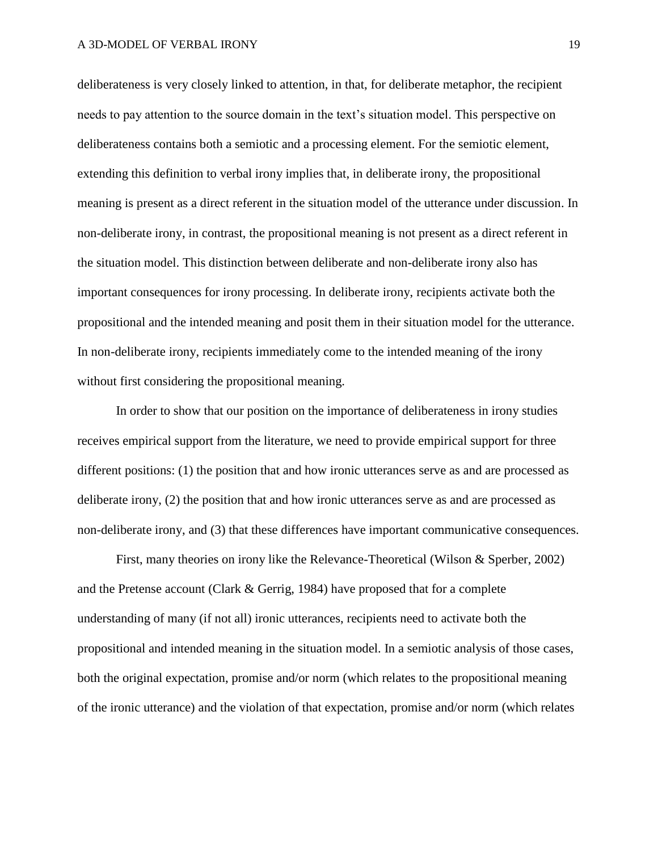deliberateness is very closely linked to attention, in that, for deliberate metaphor, the recipient needs to pay attention to the source domain in the text's situation model. This perspective on deliberateness contains both a semiotic and a processing element. For the semiotic element, extending this definition to verbal irony implies that, in deliberate irony, the propositional meaning is present as a direct referent in the situation model of the utterance under discussion. In non-deliberate irony, in contrast, the propositional meaning is not present as a direct referent in the situation model. This distinction between deliberate and non-deliberate irony also has important consequences for irony processing. In deliberate irony, recipients activate both the propositional and the intended meaning and posit them in their situation model for the utterance. In non-deliberate irony, recipients immediately come to the intended meaning of the irony without first considering the propositional meaning.

In order to show that our position on the importance of deliberateness in irony studies receives empirical support from the literature, we need to provide empirical support for three different positions: (1) the position that and how ironic utterances serve as and are processed as deliberate irony, (2) the position that and how ironic utterances serve as and are processed as non-deliberate irony, and (3) that these differences have important communicative consequences.

First, many theories on irony like the Relevance-Theoretical (Wilson & Sperber, 2002) and the Pretense account (Clark & Gerrig, 1984) have proposed that for a complete understanding of many (if not all) ironic utterances, recipients need to activate both the propositional and intended meaning in the situation model. In a semiotic analysis of those cases, both the original expectation, promise and/or norm (which relates to the propositional meaning of the ironic utterance) and the violation of that expectation, promise and/or norm (which relates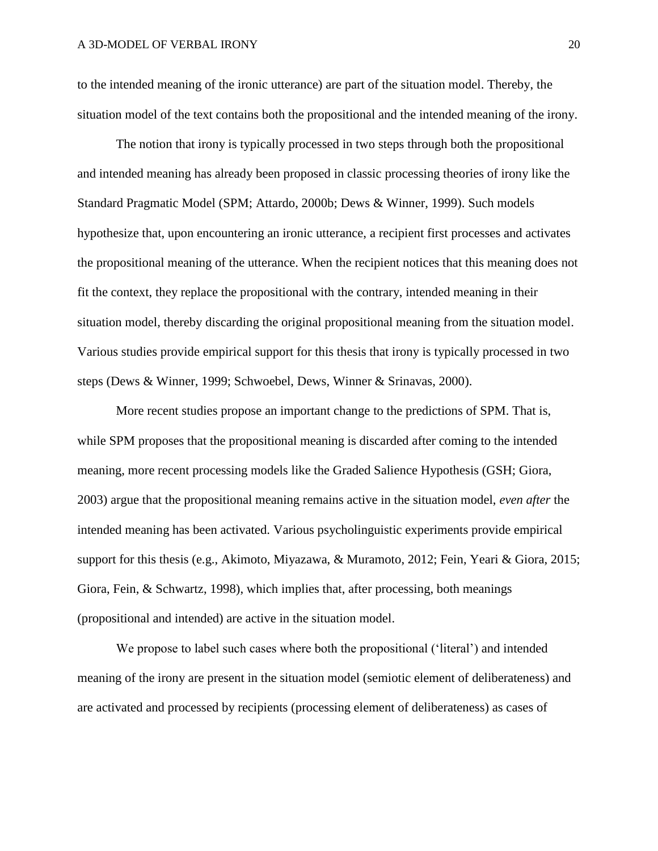to the intended meaning of the ironic utterance) are part of the situation model. Thereby, the situation model of the text contains both the propositional and the intended meaning of the irony.

The notion that irony is typically processed in two steps through both the propositional and intended meaning has already been proposed in classic processing theories of irony like the Standard Pragmatic Model (SPM; Attardo, 2000b; Dews & Winner, 1999). Such models hypothesize that, upon encountering an ironic utterance, a recipient first processes and activates the propositional meaning of the utterance. When the recipient notices that this meaning does not fit the context, they replace the propositional with the contrary, intended meaning in their situation model, thereby discarding the original propositional meaning from the situation model. Various studies provide empirical support for this thesis that irony is typically processed in two steps (Dews & Winner, 1999; Schwoebel, Dews, Winner & Srinavas, 2000).

More recent studies propose an important change to the predictions of SPM. That is, while SPM proposes that the propositional meaning is discarded after coming to the intended meaning, more recent processing models like the Graded Salience Hypothesis (GSH; Giora, 2003) argue that the propositional meaning remains active in the situation model, *even after* the intended meaning has been activated. Various psycholinguistic experiments provide empirical support for this thesis (e.g., Akimoto, Miyazawa, & Muramoto, 2012; Fein, Yeari & Giora, 2015; Giora, Fein, & Schwartz, 1998), which implies that, after processing, both meanings (propositional and intended) are active in the situation model.

We propose to label such cases where both the propositional ('literal') and intended meaning of the irony are present in the situation model (semiotic element of deliberateness) and are activated and processed by recipients (processing element of deliberateness) as cases of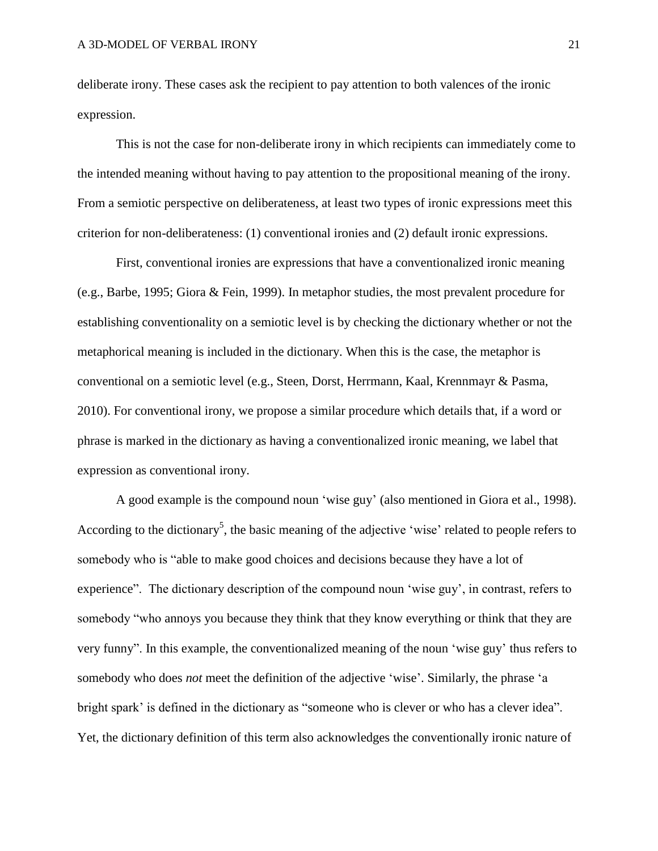deliberate irony. These cases ask the recipient to pay attention to both valences of the ironic expression.

This is not the case for non-deliberate irony in which recipients can immediately come to the intended meaning without having to pay attention to the propositional meaning of the irony. From a semiotic perspective on deliberateness, at least two types of ironic expressions meet this criterion for non-deliberateness: (1) conventional ironies and (2) default ironic expressions.

First, conventional ironies are expressions that have a conventionalized ironic meaning (e.g., Barbe, 1995; Giora & Fein, 1999). In metaphor studies, the most prevalent procedure for establishing conventionality on a semiotic level is by checking the dictionary whether or not the metaphorical meaning is included in the dictionary. When this is the case, the metaphor is conventional on a semiotic level (e.g., Steen, Dorst, Herrmann, Kaal, Krennmayr & Pasma, 2010). For conventional irony, we propose a similar procedure which details that, if a word or phrase is marked in the dictionary as having a conventionalized ironic meaning, we label that expression as conventional irony.

A good example is the compound noun 'wise guy' (also mentioned in Giora et al., 1998). According to the dictionary<sup>5</sup>, the basic meaning of the adjective 'wise' related to people refers to somebody who is ["able](http://www.macmillandictionary.com/dictionary/american/able_1) to [make](http://www.macmillandictionary.com/dictionary/american/make_1) [good](http://www.macmillandictionary.com/dictionary/american/good_1) [choices](http://www.macmillandictionary.com/dictionary/american/choice_1) and [decisions](http://www.macmillandictionary.com/dictionary/american/decision_1) because they have a [lot](http://www.macmillandictionary.com/dictionary/american/lot_1) of [experience"](http://www.macmillandictionary.com/dictionary/american/experience_1). The dictionary description of the compound noun 'wise guy', in contrast, refers to somebody "who [annoys](http://www.macmillandictionary.com/dictionary/american/annoy) you because they [think](http://www.macmillandictionary.com/dictionary/american/think_1) that they [know](http://www.macmillandictionary.com/dictionary/american/know_1) everything or [think](http://www.macmillandictionary.com/dictionary/american/think_1) that they are very [funny"](http://www.macmillandictionary.com/dictionary/american/funny). In this example, the conventionalized meaning of the noun 'wise guy' thus refers to somebody who does *not* meet the definition of the adjective 'wise'. Similarly, the phrase 'a bright spark' is defined in the dictionary as "someone who is [clever](http://www.macmillandictionary.com/dictionary/british/clever) or who has a [clever](http://www.macmillandictionary.com/dictionary/british/clever) [idea"](http://www.macmillandictionary.com/dictionary/british/idea). Yet, the dictionary definition of this term also acknowledges the conventionally ironic nature of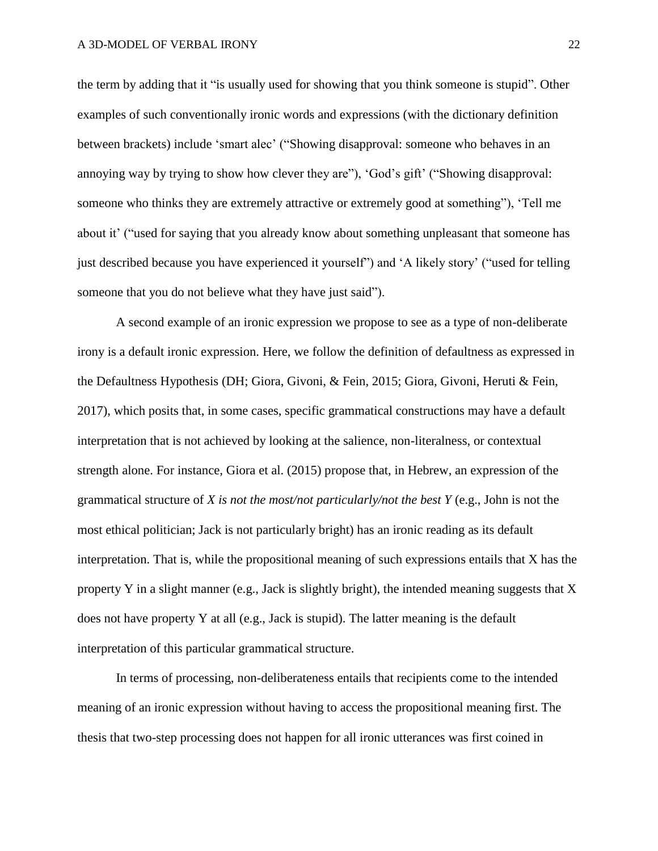the term by adding that it "is [usually](http://www.macmillandictionary.com/dictionary/british/usually) [used](http://www.macmillandictionary.com/dictionary/british/used) for [showing](http://www.macmillandictionary.com/dictionary/british/showing) that you [think](http://www.macmillandictionary.com/dictionary/british/think_1) someone is [stupid"](http://www.macmillandictionary.com/dictionary/british/stupid_1). Other examples of such conventionally ironic words and expressions (with the dictionary definition between brackets) include 'smart alec' ("Showing disapproval: someone who [behaves](http://www.macmillandictionary.com/dictionary/british/behave) in an [annoying](http://www.macmillandictionary.com/dictionary/british/annoying) way by [trying](http://www.macmillandictionary.com/dictionary/british/trying) to show how [clever](http://www.macmillandictionary.com/dictionary/british/clever) they are"), 'God's gift' ("Showing disapproval: someone who [thinks](http://www.macmillandictionary.com/dictionary/british/think_1) they are [extremely](http://www.macmillandictionary.com/dictionary/british/extremely) [attractive](http://www.macmillandictionary.com/dictionary/british/attractive) or [extremely](http://www.macmillandictionary.com/dictionary/british/extremely) [good](http://www.macmillandictionary.com/dictionary/british/good_1) at something"), 'Tell me about it' (["used](http://www.macmillandictionary.com/dictionary/british/used) for [saying](http://www.macmillandictionary.com/dictionary/british/saying) that you already [know](http://www.macmillandictionary.com/dictionary/british/know_1) about something [unpleasant](http://www.macmillandictionary.com/dictionary/british/unpleasant) that someone has [just](http://www.macmillandictionary.com/dictionary/british/just_1) [described](http://www.macmillandictionary.com/dictionary/british/describe) because you have [experienced](http://www.macmillandictionary.com/dictionary/british/experienced) it yourself") and 'A likely story' (["used](http://www.macmillandictionary.com/dictionary/british/used) for [telling](http://www.macmillandictionary.com/dictionary/british/telling) someone that you do not [believe](http://www.macmillandictionary.com/dictionary/british/believe) what they have [just](http://www.macmillandictionary.com/dictionary/british/just_1) [said"](http://www.macmillandictionary.com/dictionary/british/said_1)).

A second example of an ironic expression we propose to see as a type of non-deliberate irony is a default ironic expression. Here, we follow the definition of defaultness as expressed in the Defaultness Hypothesis (DH; Giora, Givoni, & Fein, 2015; Giora, Givoni, Heruti & Fein, 2017), which posits that, in some cases, specific grammatical constructions may have a default interpretation that is not achieved by looking at the salience, non-literalness, or contextual strength alone. For instance, Giora et al. (2015) propose that, in Hebrew, an expression of the grammatical structure of *X is not the most/not particularly/not the best Y* (e.g., John is not the most ethical politician; Jack is not particularly bright) has an ironic reading as its default interpretation. That is, while the propositional meaning of such expressions entails that X has the property Y in a slight manner (e.g., Jack is slightly bright), the intended meaning suggests that X does not have property Y at all (e.g., Jack is stupid). The latter meaning is the default interpretation of this particular grammatical structure.

In terms of processing, non-deliberateness entails that recipients come to the intended meaning of an ironic expression without having to access the propositional meaning first. The thesis that two-step processing does not happen for all ironic utterances was first coined in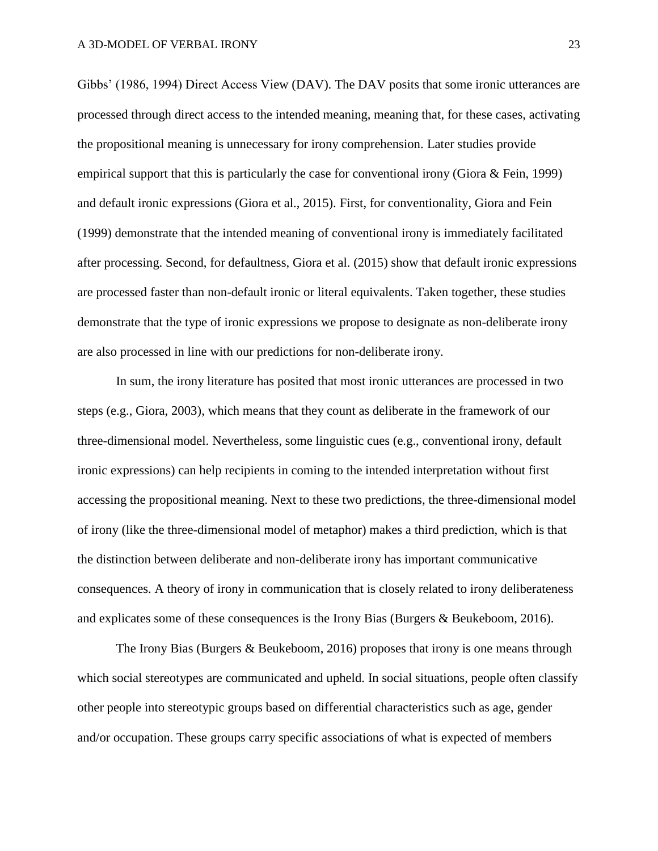Gibbs' (1986, 1994) Direct Access View (DAV). The DAV posits that some ironic utterances are processed through direct access to the intended meaning, meaning that, for these cases, activating the propositional meaning is unnecessary for irony comprehension. Later studies provide empirical support that this is particularly the case for conventional irony (Giora & Fein, 1999) and default ironic expressions (Giora et al., 2015). First, for conventionality, Giora and Fein (1999) demonstrate that the intended meaning of conventional irony is immediately facilitated after processing. Second, for defaultness, Giora et al. (2015) show that default ironic expressions are processed faster than non-default ironic or literal equivalents. Taken together, these studies demonstrate that the type of ironic expressions we propose to designate as non-deliberate irony are also processed in line with our predictions for non-deliberate irony.

In sum, the irony literature has posited that most ironic utterances are processed in two steps (e.g., Giora, 2003), which means that they count as deliberate in the framework of our three-dimensional model. Nevertheless, some linguistic cues (e.g., conventional irony, default ironic expressions) can help recipients in coming to the intended interpretation without first accessing the propositional meaning. Next to these two predictions, the three-dimensional model of irony (like the three-dimensional model of metaphor) makes a third prediction, which is that the distinction between deliberate and non-deliberate irony has important communicative consequences. A theory of irony in communication that is closely related to irony deliberateness and explicates some of these consequences is the Irony Bias (Burgers & Beukeboom, 2016).

The Irony Bias (Burgers & Beukeboom, 2016) proposes that irony is one means through which social stereotypes are communicated and upheld. In social situations, people often classify other people into stereotypic groups based on differential characteristics such as age, gender and/or occupation. These groups carry specific associations of what is expected of members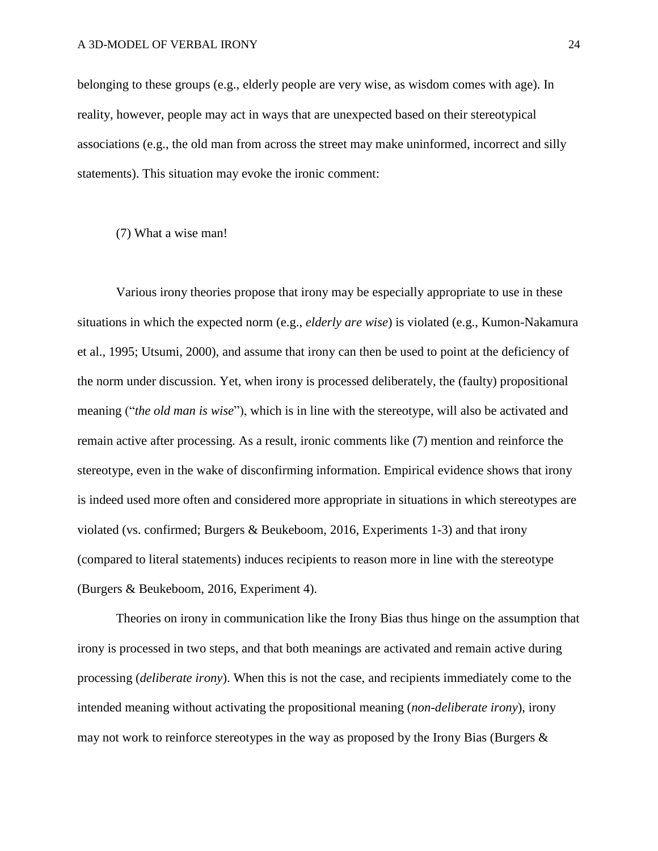belonging to these groups (e.g., elderly people are very wise, as wisdom comes with age). In reality, however, people may act in ways that are unexpected based on their stereotypical associations (e.g., the old man from across the street may make uninformed, incorrect and silly statements). This situation may evoke the ironic comment:

### (7) What a wise man!

Various irony theories propose that irony may be especially appropriate to use in these situations in which the expected norm (e.g., *elderly are wise*) is violated (e.g., Kumon-Nakamura et al., 1995; Utsumi, 2000), and assume that irony can then be used to point at the deficiency of the norm under discussion. Yet, when irony is processed deliberately, the (faulty) propositional meaning ("*the old man is wise*"), which is in line with the stereotype, will also be activated and remain active after processing. As a result, ironic comments like (7) mention and reinforce the stereotype, even in the wake of disconfirming information. Empirical evidence shows that irony is indeed used more often and considered more appropriate in situations in which stereotypes are violated (vs. confirmed; Burgers & Beukeboom, 2016, Experiments 1-3) and that irony (compared to literal statements) induces recipients to reason more in line with the stereotype (Burgers & Beukeboom, 2016, Experiment 4).

Theories on irony in communication like the Irony Bias thus hinge on the assumption that irony is processed in two steps, and that both meanings are activated and remain active during processing (*deliberate irony*). When this is not the case, and recipients immediately come to the intended meaning without activating the propositional meaning (*non-deliberate irony*), irony may not work to reinforce stereotypes in the way as proposed by the Irony Bias (Burgers &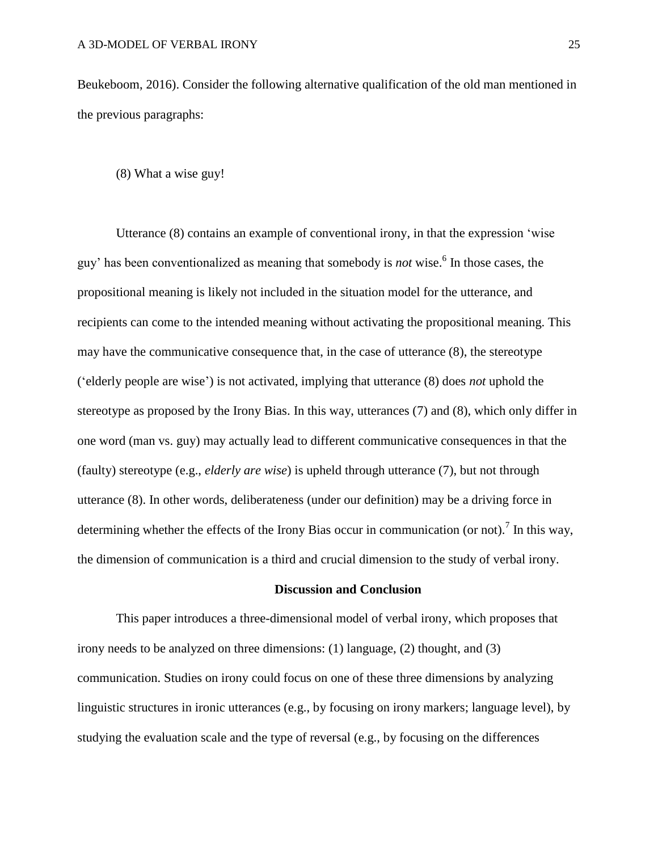Beukeboom, 2016). Consider the following alternative qualification of the old man mentioned in the previous paragraphs:

(8) What a wise guy!

Utterance (8) contains an example of conventional irony, in that the expression 'wise guy' has been conventionalized as meaning that somebody is *not* wise. 6 In those cases, the propositional meaning is likely not included in the situation model for the utterance, and recipients can come to the intended meaning without activating the propositional meaning. This may have the communicative consequence that, in the case of utterance (8), the stereotype ('elderly people are wise') is not activated, implying that utterance (8) does *not* uphold the stereotype as proposed by the Irony Bias. In this way, utterances (7) and (8), which only differ in one word (man vs. guy) may actually lead to different communicative consequences in that the (faulty) stereotype (e.g., *elderly are wise*) is upheld through utterance (7), but not through utterance (8). In other words, deliberateness (under our definition) may be a driving force in determining whether the effects of the Irony Bias occur in communication (or not).<sup>7</sup> In this way, the dimension of communication is a third and crucial dimension to the study of verbal irony.

# **Discussion and Conclusion**

This paper introduces a three-dimensional model of verbal irony, which proposes that irony needs to be analyzed on three dimensions: (1) language, (2) thought, and (3) communication. Studies on irony could focus on one of these three dimensions by analyzing linguistic structures in ironic utterances (e.g., by focusing on irony markers; language level), by studying the evaluation scale and the type of reversal (e.g., by focusing on the differences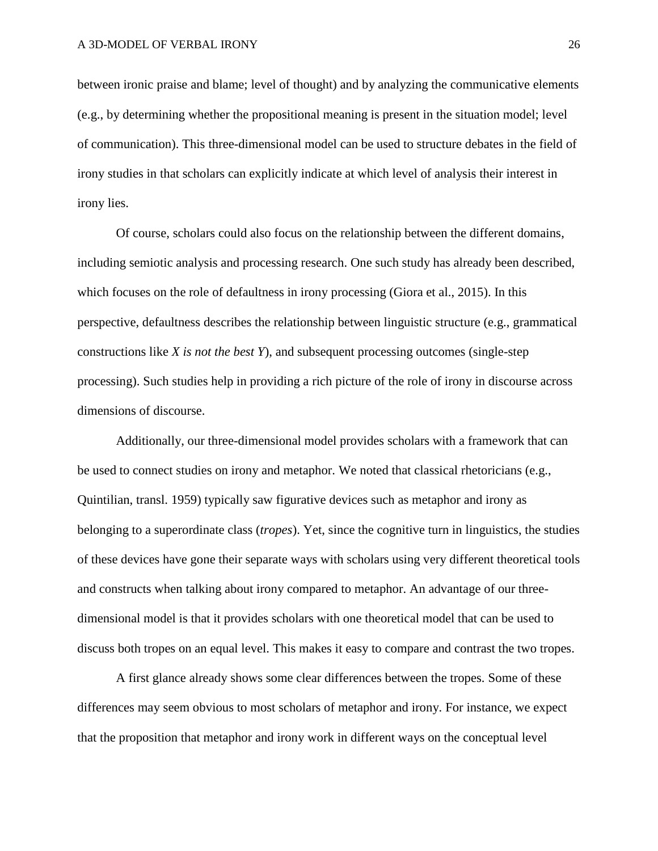between ironic praise and blame; level of thought) and by analyzing the communicative elements (e.g., by determining whether the propositional meaning is present in the situation model; level of communication). This three-dimensional model can be used to structure debates in the field of irony studies in that scholars can explicitly indicate at which level of analysis their interest in irony lies.

Of course, scholars could also focus on the relationship between the different domains, including semiotic analysis and processing research. One such study has already been described, which focuses on the role of defaultness in irony processing (Giora et al., 2015). In this perspective, defaultness describes the relationship between linguistic structure (e.g., grammatical constructions like *X is not the best Y*), and subsequent processing outcomes (single-step processing). Such studies help in providing a rich picture of the role of irony in discourse across dimensions of discourse.

Additionally, our three-dimensional model provides scholars with a framework that can be used to connect studies on irony and metaphor. We noted that classical rhetoricians (e.g., Quintilian, transl. 1959) typically saw figurative devices such as metaphor and irony as belonging to a superordinate class (*tropes*). Yet, since the cognitive turn in linguistics, the studies of these devices have gone their separate ways with scholars using very different theoretical tools and constructs when talking about irony compared to metaphor. An advantage of our threedimensional model is that it provides scholars with one theoretical model that can be used to discuss both tropes on an equal level. This makes it easy to compare and contrast the two tropes.

A first glance already shows some clear differences between the tropes. Some of these differences may seem obvious to most scholars of metaphor and irony. For instance, we expect that the proposition that metaphor and irony work in different ways on the conceptual level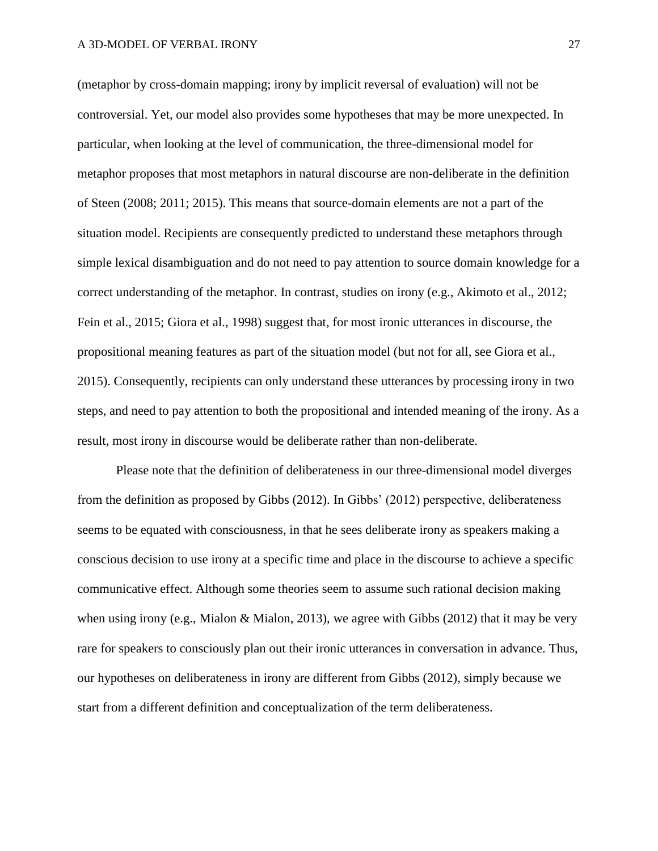(metaphor by cross-domain mapping; irony by implicit reversal of evaluation) will not be controversial. Yet, our model also provides some hypotheses that may be more unexpected. In particular, when looking at the level of communication, the three-dimensional model for metaphor proposes that most metaphors in natural discourse are non-deliberate in the definition of Steen (2008; 2011; 2015). This means that source-domain elements are not a part of the situation model. Recipients are consequently predicted to understand these metaphors through simple lexical disambiguation and do not need to pay attention to source domain knowledge for a correct understanding of the metaphor. In contrast, studies on irony (e.g., Akimoto et al., 2012; Fein et al., 2015; Giora et al., 1998) suggest that, for most ironic utterances in discourse, the propositional meaning features as part of the situation model (but not for all, see Giora et al., 2015). Consequently, recipients can only understand these utterances by processing irony in two steps, and need to pay attention to both the propositional and intended meaning of the irony. As a result, most irony in discourse would be deliberate rather than non-deliberate.

Please note that the definition of deliberateness in our three-dimensional model diverges from the definition as proposed by Gibbs (2012). In Gibbs' (2012) perspective, deliberateness seems to be equated with consciousness, in that he sees deliberate irony as speakers making a conscious decision to use irony at a specific time and place in the discourse to achieve a specific communicative effect. Although some theories seem to assume such rational decision making when using irony (e.g., Mialon & Mialon, 2013), we agree with Gibbs (2012) that it may be very rare for speakers to consciously plan out their ironic utterances in conversation in advance. Thus, our hypotheses on deliberateness in irony are different from Gibbs (2012), simply because we start from a different definition and conceptualization of the term deliberateness.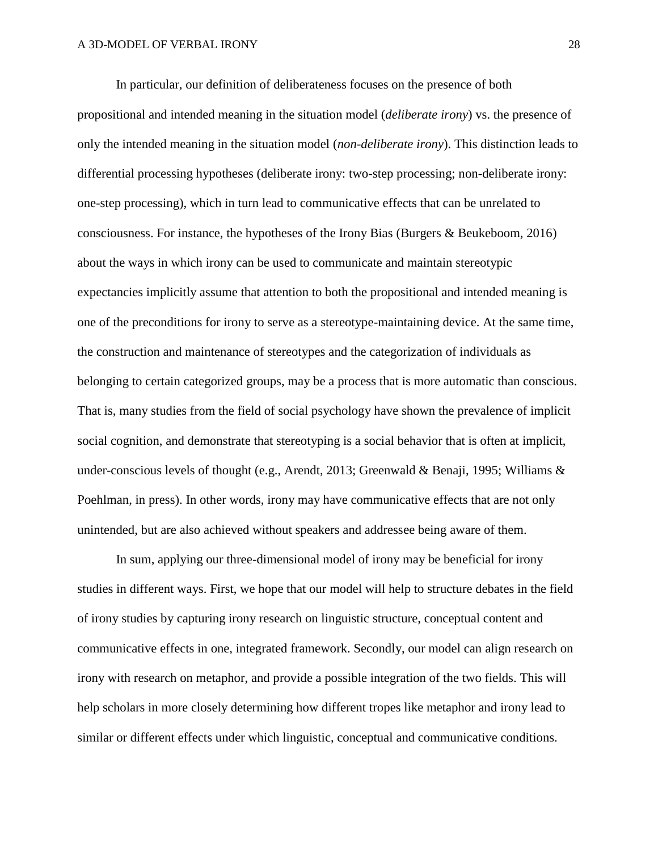In particular, our definition of deliberateness focuses on the presence of both propositional and intended meaning in the situation model (*deliberate irony*) vs. the presence of only the intended meaning in the situation model (*non-deliberate irony*). This distinction leads to differential processing hypotheses (deliberate irony: two-step processing; non-deliberate irony: one-step processing), which in turn lead to communicative effects that can be unrelated to consciousness. For instance, the hypotheses of the Irony Bias (Burgers & Beukeboom, 2016) about the ways in which irony can be used to communicate and maintain stereotypic expectancies implicitly assume that attention to both the propositional and intended meaning is one of the preconditions for irony to serve as a stereotype-maintaining device. At the same time, the construction and maintenance of stereotypes and the categorization of individuals as belonging to certain categorized groups, may be a process that is more automatic than conscious. That is, many studies from the field of social psychology have shown the prevalence of implicit social cognition, and demonstrate that stereotyping is a social behavior that is often at implicit, under-conscious levels of thought (e.g., Arendt, 2013; Greenwald & Benaji, 1995; Williams & Poehlman, in press). In other words, irony may have communicative effects that are not only unintended, but are also achieved without speakers and addressee being aware of them.

In sum, applying our three-dimensional model of irony may be beneficial for irony studies in different ways. First, we hope that our model will help to structure debates in the field of irony studies by capturing irony research on linguistic structure, conceptual content and communicative effects in one, integrated framework. Secondly, our model can align research on irony with research on metaphor, and provide a possible integration of the two fields. This will help scholars in more closely determining how different tropes like metaphor and irony lead to similar or different effects under which linguistic, conceptual and communicative conditions.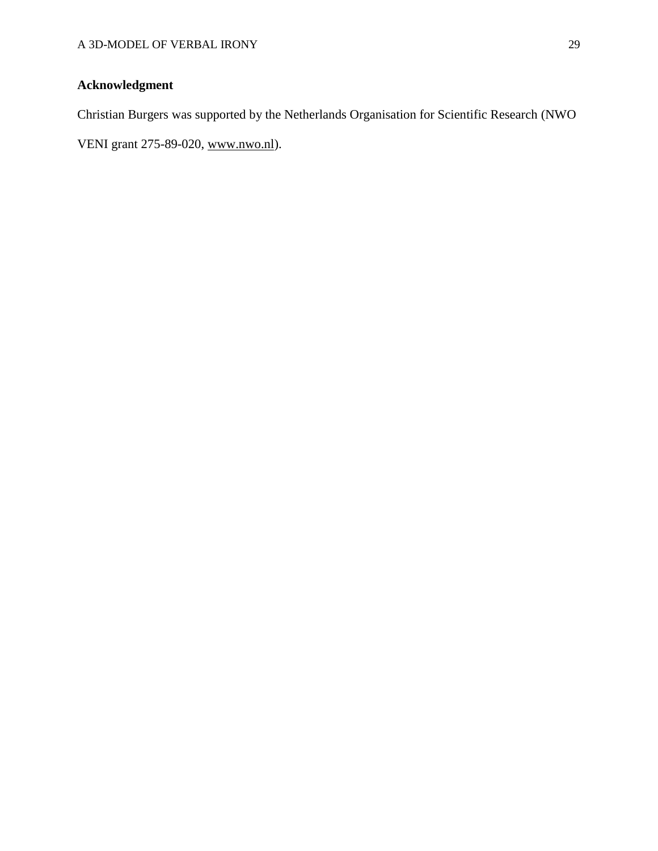# **Acknowledgment**

Christian Burgers was supported by the Netherlands Organisation for Scientific Research (NWO

VENI grant 275-89-020, [www.nwo.nl\)](http://www.nwo.nl/).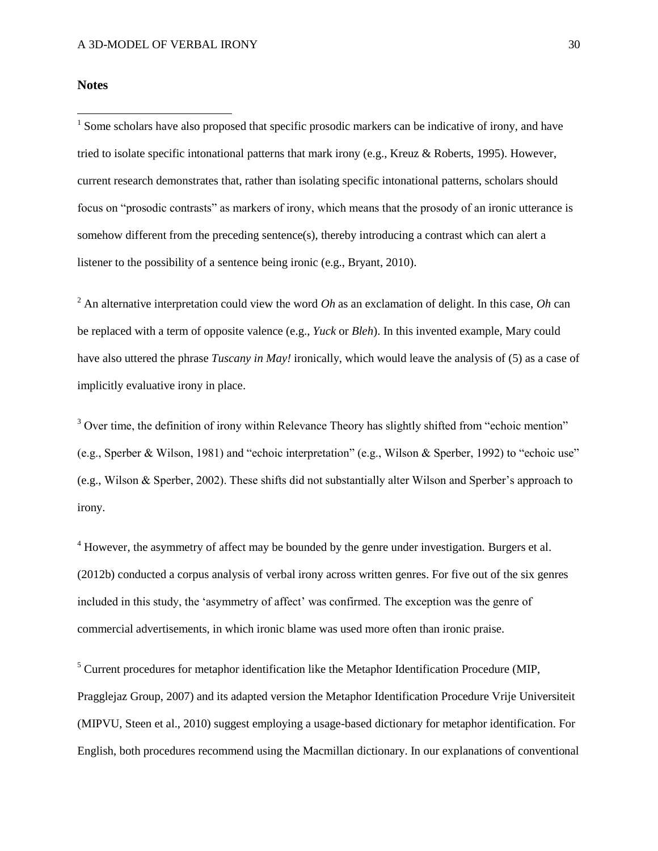# **Notes**

 $\overline{a}$ 

<sup>1</sup> Some scholars have also proposed that specific prosodic markers can be indicative of irony, and have tried to isolate specific intonational patterns that mark irony (e.g., Kreuz & Roberts, 1995). However, current research demonstrates that, rather than isolating specific intonational patterns, scholars should focus on "prosodic contrasts" as markers of irony, which means that the prosody of an ironic utterance is somehow different from the preceding sentence(s), thereby introducing a contrast which can alert a listener to the possibility of a sentence being ironic (e.g., Bryant, 2010).

<sup>2</sup> An alternative interpretation could view the word *Oh* as an exclamation of delight. In this case, *Oh* can be replaced with a term of opposite valence (e.g., *Yuck* or *Bleh*). In this invented example, Mary could have also uttered the phrase *Tuscany in May!* ironically, which would leave the analysis of (5) as a case of implicitly evaluative irony in place.

<sup>3</sup> Over time, the definition of irony within Relevance Theory has slightly shifted from "echoic mention" (e.g., Sperber & Wilson, 1981) and "echoic interpretation" (e.g., Wilson & Sperber, 1992) to "echoic use" (e.g., Wilson & Sperber, 2002). These shifts did not substantially alter Wilson and Sperber's approach to irony.

 $4$  However, the asymmetry of affect may be bounded by the genre under investigation. Burgers et al. (2012b) conducted a corpus analysis of verbal irony across written genres. For five out of the six genres included in this study, the 'asymmetry of affect' was confirmed. The exception was the genre of commercial advertisements, in which ironic blame was used more often than ironic praise.

<sup>5</sup> Current procedures for metaphor identification like the Metaphor Identification Procedure (MIP, Pragglejaz Group, 2007) and its adapted version the Metaphor Identification Procedure Vrije Universiteit (MIPVU, Steen et al., 2010) suggest employing a usage-based dictionary for metaphor identification. For English, both procedures recommend using the Macmillan dictionary. In our explanations of conventional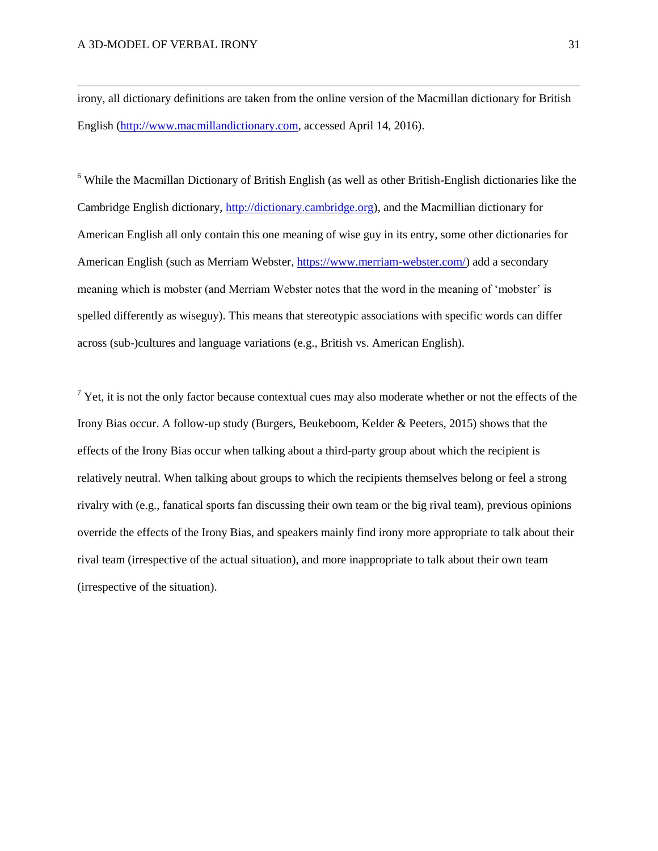$\overline{\phantom{a}}$ 

irony, all dictionary definitions are taken from the online version of the Macmillan dictionary for British English [\(http://www.macmillandictionary.com,](http://www.macmillandictionary.com/) accessed April 14, 2016).

<sup>6</sup> While the Macmillan Dictionary of British English (as well as other British-English dictionaries like the Cambridge English dictionary, [http://dictionary.cambridge.org\)](http://dictionary.cambridge.org/), and the Macmillian dictionary for American English all only contain this one meaning of wise guy in its entry, some other dictionaries for American English (such as Merriam Webster, [https://www.merriam-webster.com/\)](https://www.merriam-webster.com/) add a secondary meaning which is mobster (and Merriam Webster notes that the word in the meaning of 'mobster' is spelled differently as wiseguy). This means that stereotypic associations with specific words can differ across (sub-)cultures and language variations (e.g., British vs. American English).

 $7$  Yet, it is not the only factor because contextual cues may also moderate whether or not the effects of the Irony Bias occur. A follow-up study (Burgers, Beukeboom, Kelder & Peeters, 2015) shows that the effects of the Irony Bias occur when talking about a third-party group about which the recipient is relatively neutral. When talking about groups to which the recipients themselves belong or feel a strong rivalry with (e.g., fanatical sports fan discussing their own team or the big rival team), previous opinions override the effects of the Irony Bias, and speakers mainly find irony more appropriate to talk about their rival team (irrespective of the actual situation), and more inappropriate to talk about their own team (irrespective of the situation).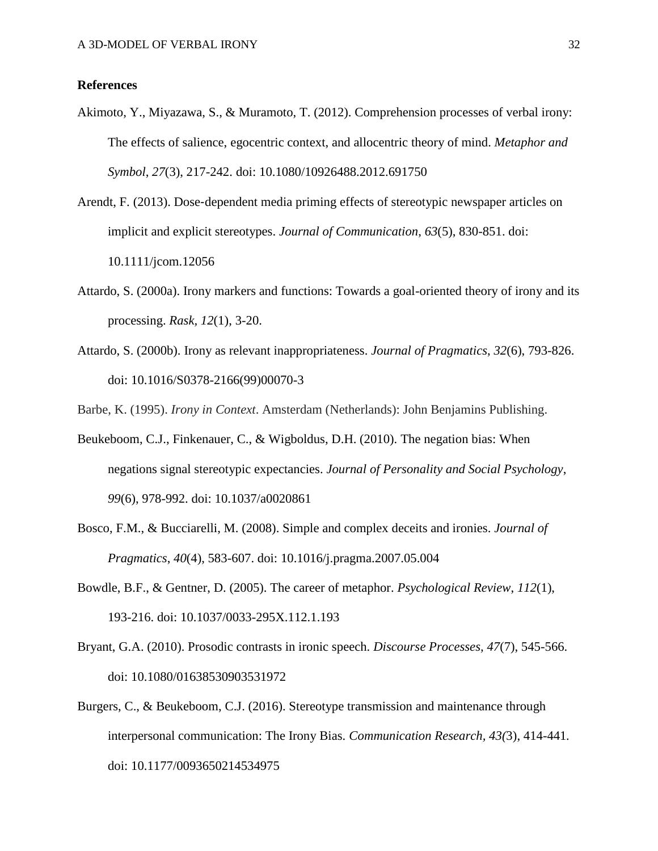# **References**

- Akimoto, Y., Miyazawa, S., & Muramoto, T. (2012). Comprehension processes of verbal irony: The effects of salience, egocentric context, and allocentric theory of mind. *Metaphor and Symbol*, *27*(3), 217-242. doi: 10.1080/10926488.2012.691750
- Arendt, F. (2013). Dose‐dependent media priming effects of stereotypic newspaper articles on implicit and explicit stereotypes. *Journal of Communication*, *63*(5), 830-851. doi: 10.1111/jcom.12056
- Attardo, S. (2000a). Irony markers and functions: Towards a goal-oriented theory of irony and its processing. *Rask, 12*(1), 3-20.
- Attardo, S. (2000b). Irony as relevant inappropriateness. *Journal of Pragmatics*, *32*(6), 793-826. doi: 10.1016/S0378-2166(99)00070-3

Barbe, K. (1995). *Irony in Context*. Amsterdam (Netherlands): John Benjamins Publishing.

- Beukeboom, C.J., Finkenauer, C., & Wigboldus, D.H. (2010). The negation bias: When negations signal stereotypic expectancies. *Journal of Personality and Social Psychology*, *99*(6), 978-992. doi: 10.1037/a0020861
- Bosco, F.M., & Bucciarelli, M. (2008). Simple and complex deceits and ironies. *Journal of Pragmatics*, *40*(4), 583-607. doi: 10.1016/j.pragma.2007.05.004
- Bowdle, B.F., & Gentner, D. (2005). The career of metaphor. *Psychological Review*, *112*(1), 193-216. doi: 10.1037/0033-295X.112.1.193
- Bryant, G.A. (2010). Prosodic contrasts in ironic speech. *Discourse Processes, 47*(7), 545-566. doi: 10.1080/01638530903531972
- Burgers, C., & Beukeboom, C.J. (2016). Stereotype transmission and maintenance through interpersonal communication: The Irony Bias. *Communication Research, 43(*3), 414-441*.*  doi: 10.1177/0093650214534975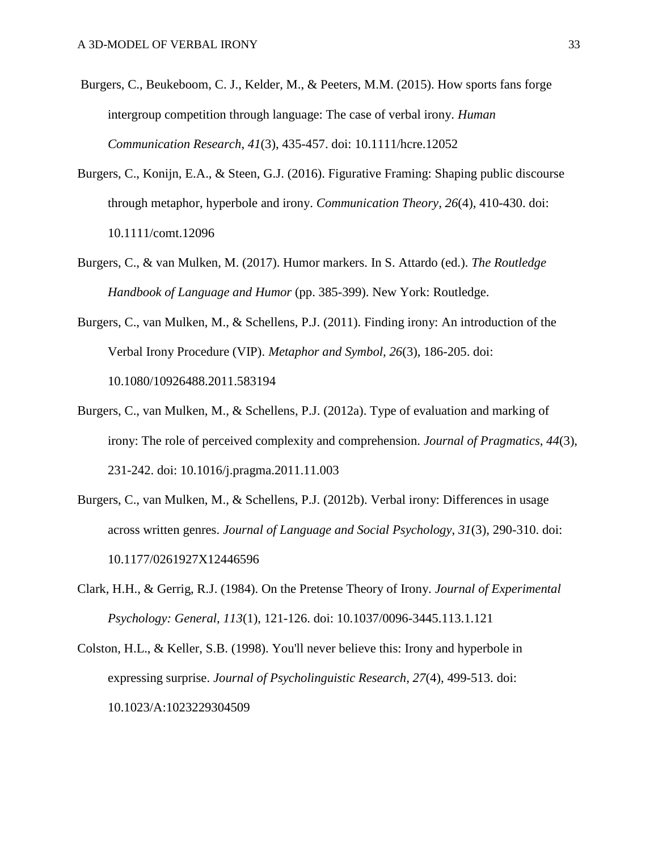- Burgers, C., Beukeboom, C. J., Kelder, M., & Peeters, M.M. (2015). How sports fans forge intergroup competition through language: The case of verbal irony. *Human Communication Research*, *41*(3), 435-457. doi: 10.1111/hcre.12052
- Burgers, C., Konijn, E.A., & Steen, G.J. (2016). Figurative Framing: Shaping public discourse through metaphor, hyperbole and irony. *Communication Theory, 26*(4), 410-430. doi: 10.1111/comt.12096
- Burgers, C., & van Mulken, M. (2017). Humor markers. In S. Attardo (ed.). *The Routledge Handbook of Language and Humor* (pp. 385-399). New York: Routledge.
- Burgers, C., van Mulken, M., & Schellens, P.J. (2011). Finding irony: An introduction of the Verbal Irony Procedure (VIP). *Metaphor and Symbol, 26*(3), 186-205. doi: 10.1080/10926488.2011.583194
- Burgers, C., van Mulken, M., & Schellens, P.J. (2012a). Type of evaluation and marking of irony: The role of perceived complexity and comprehension. *Journal of Pragmatics, 44*(3), 231-242. doi: 10.1016/j.pragma.2011.11.003
- Burgers, C., van Mulken, M., & Schellens, P.J. (2012b). Verbal irony: Differences in usage across written genres. *Journal of Language and Social Psychology*, *31*(3), 290-310. doi: 10.1177/0261927X12446596
- Clark, H.H., & Gerrig, R.J. (1984). On the Pretense Theory of Irony. *Journal of Experimental Psychology: General, 113*(1), 121-126. doi: 10.1037/0096-3445.113.1.121
- Colston, H.L., & Keller, S.B. (1998). You'll never believe this: Irony and hyperbole in expressing surprise. *Journal of Psycholinguistic Research, 27*(4), 499-513. doi: 10.1023/A:1023229304509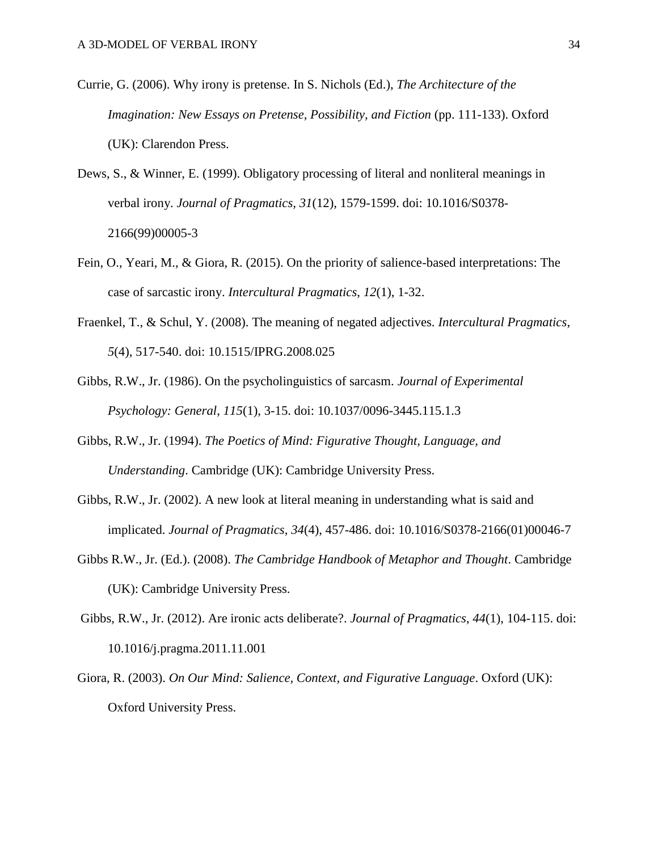- Currie, G. (2006). Why irony is pretense. In S. Nichols (Ed.), *The Architecture of the Imagination: New Essays on Pretense, Possibility, and Fiction* (pp. 111-133). Oxford (UK): Clarendon Press.
- Dews, S., & Winner, E. (1999). Obligatory processing of literal and nonliteral meanings in verbal irony. *Journal of Pragmatics, 31*(12), 1579-1599. doi: 10.1016/S0378- 2166(99)00005-3
- Fein, O., Yeari, M., & Giora, R. (2015). On the priority of salience-based interpretations: The case of sarcastic irony. *Intercultural Pragmatics*, *12*(1), 1-32.
- Fraenkel, T., & Schul, Y. (2008). The meaning of negated adjectives. *Intercultural Pragmatics*, *5*(4), 517-540. doi: 10.1515/IPRG.2008.025
- Gibbs, R.W., Jr. (1986). On the psycholinguistics of sarcasm. *Journal of Experimental Psychology: General*, *115*(1), 3-15. doi: 10.1037/0096-3445.115.1.3
- Gibbs, R.W., Jr. (1994). *The Poetics of Mind: Figurative Thought, Language, and Understanding*. Cambridge (UK): Cambridge University Press.
- Gibbs, R.W., Jr. (2002). A new look at literal meaning in understanding what is said and implicated. *Journal of Pragmatics*, *34*(4), 457-486. doi: 10.1016/S0378-2166(01)00046-7
- Gibbs R.W., Jr. (Ed.). (2008). *The Cambridge Handbook of Metaphor and Thought*. Cambridge (UK): Cambridge University Press.
- Gibbs, R.W., Jr. (2012). Are ironic acts deliberate?. *Journal of Pragmatics*, *44*(1), 104-115. doi: 10.1016/j.pragma.2011.11.001
- Giora, R. (2003). *On Our Mind: Salience, Context, and Figurative Language*. Oxford (UK): Oxford University Press.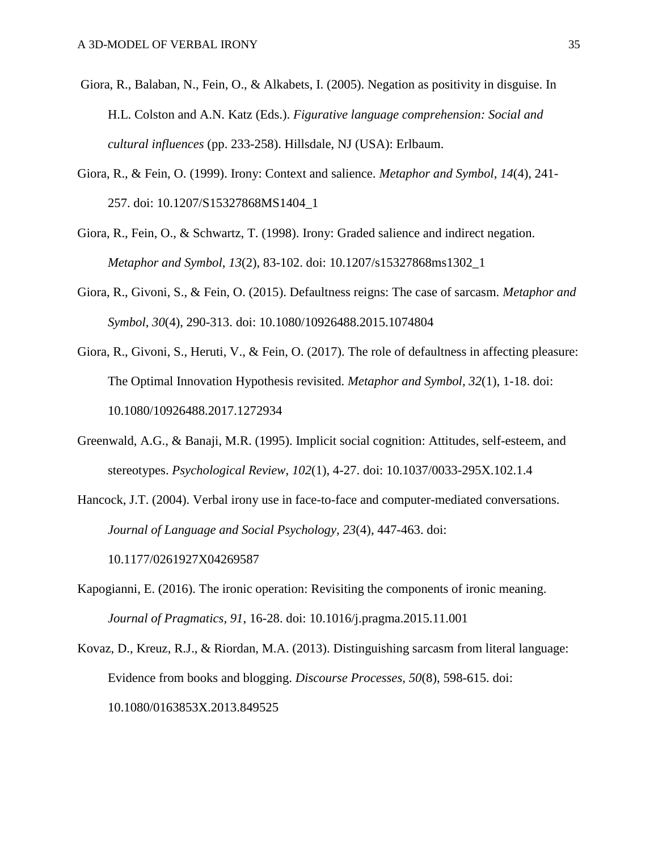- Giora, R., Balaban, N., Fein, O., & Alkabets, I. (2005). Negation as positivity in disguise. In H.L. Colston and A.N. Katz (Eds.). *Figurative language comprehension: Social and cultural influences* (pp. 233-258). Hillsdale, NJ (USA): Erlbaum.
- Giora, R., & Fein, O. (1999). Irony: Context and salience. *Metaphor and Symbol*, *14*(4), 241- 257. doi: 10.1207/S15327868MS1404\_1
- Giora, R., Fein, O., & Schwartz, T. (1998). Irony: Graded salience and indirect negation. *Metaphor and Symbol*, *13*(2), 83-102. doi: 10.1207/s15327868ms1302\_1
- Giora, R., Givoni, S., & Fein, O. (2015). Defaultness reigns: The case of sarcasm. *Metaphor and Symbol*, *30*(4), 290-313. doi: 10.1080/10926488.2015.1074804
- Giora, R., Givoni, S., Heruti, V., & Fein, O. (2017). The role of defaultness in affecting pleasure: The Optimal Innovation Hypothesis revisited. *Metaphor and Symbol, 32*(1), 1-18. doi: 10.1080/10926488.2017.1272934
- Greenwald, A.G., & Banaji, M.R. (1995). Implicit social cognition: Attitudes, self-esteem, and stereotypes. *Psychological Review*, *102*(1), 4-27. doi: 10.1037/0033-295X.102.1.4
- Hancock, J.T. (2004). Verbal irony use in face-to-face and computer-mediated conversations. *Journal of Language and Social Psychology, 23*(4), 447-463. doi: 10.1177/0261927X04269587
- Kapogianni, E. (2016). The ironic operation: Revisiting the components of ironic meaning. *Journal of Pragmatics, 91*, 16-28. doi: 10.1016/j.pragma.2015.11.001
- Kovaz, D., Kreuz, R.J., & Riordan, M.A. (2013). Distinguishing sarcasm from literal language: Evidence from books and blogging. *Discourse Processes, 50*(8), 598-615. doi: 10.1080/0163853X.2013.849525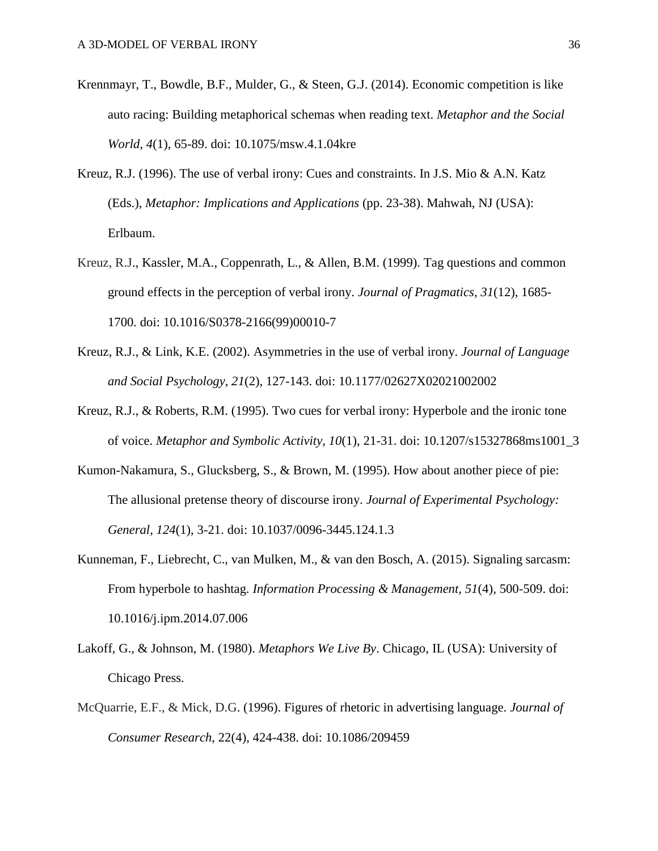- Krennmayr, T., Bowdle, B.F., Mulder, G., & Steen, G.J. (2014). Economic competition is like auto racing: Building metaphorical schemas when reading text. *Metaphor and the Social World*, *4*(1), 65-89. doi: 10.1075/msw.4.1.04kre
- Kreuz, R.J. (1996). The use of verbal irony: Cues and constraints. In J.S. Mio & A.N. Katz (Eds.), *Metaphor: Implications and Applications* (pp. 23-38). Mahwah, NJ (USA): Erlbaum.
- Kreuz, R.J., Kassler, M.A., Coppenrath, L., & Allen, B.M. (1999). Tag questions and common ground effects in the perception of verbal irony. *Journal of Pragmatics*, *31*(12), 1685- 1700. doi: 10.1016/S0378-2166(99)00010-7
- Kreuz, R.J., & Link, K.E. (2002). Asymmetries in the use of verbal irony. *Journal of Language and Social Psychology, 21*(2), 127-143. doi: 10.1177/02627X02021002002
- Kreuz, R.J., & Roberts, R.M. (1995). Two cues for verbal irony: Hyperbole and the ironic tone of voice. *Metaphor and Symbolic Activity, 10*(1), 21-31. doi: 10.1207/s15327868ms1001\_3
- Kumon-Nakamura, S., Glucksberg, S., & Brown, M. (1995). How about another piece of pie: The allusional pretense theory of discourse irony. *Journal of Experimental Psychology: General, 124*(1), 3-21. doi: 10.1037/0096-3445.124.1.3
- Kunneman, F., Liebrecht, C., van Mulken, M., & van den Bosch, A. (2015). Signaling sarcasm: From hyperbole to hashtag. *Information Processing & Management, 51*(4), 500-509. doi: 10.1016/j.ipm.2014.07.006
- Lakoff, G., & Johnson, M. (1980). *Metaphors We Live By*. Chicago, IL (USA): University of Chicago Press.
- McQuarrie, E.F., & Mick, D.G. (1996). Figures of rhetoric in advertising language. *Journal of Consumer Research*, 22(4), 424-438. doi: 10.1086/209459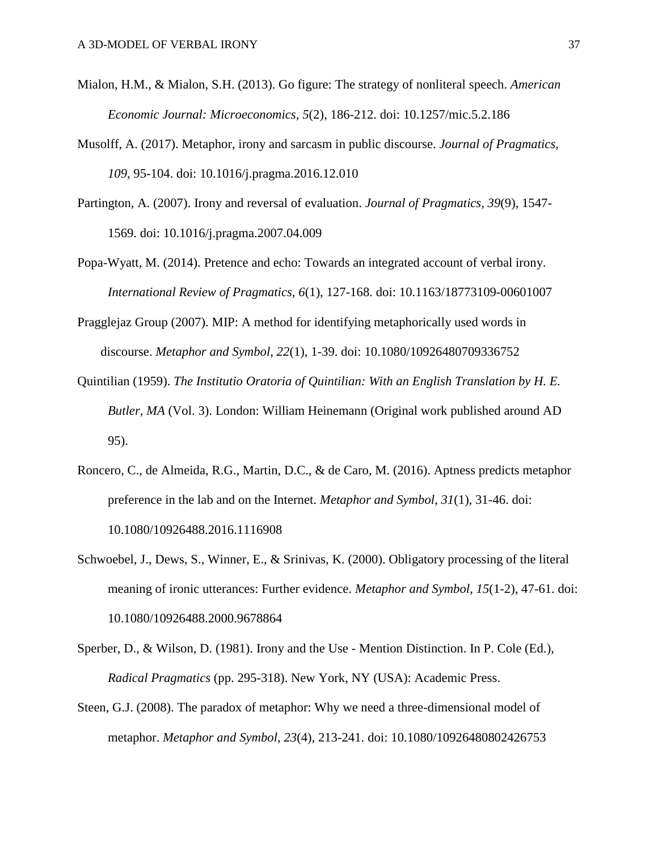- Mialon, H.M., & Mialon, S.H. (2013). Go figure: The strategy of nonliteral speech. *American Economic Journal: Microeconomics, 5*(2), 186-212. doi: 10.1257/mic.5.2.186
- Musolff, A. (2017). Metaphor, irony and sarcasm in public discourse. *Journal of Pragmatics, 109*, 95-104. doi: 10.1016/j.pragma.2016.12.010
- Partington, A. (2007). Irony and reversal of evaluation. *Journal of Pragmatics, 39*(9), 1547- 1569. doi: 10.1016/j.pragma.2007.04.009
- Popa-Wyatt, M. (2014). Pretence and echo: Towards an integrated account of verbal irony. *International Review of Pragmatics, 6*(1), 127-168. doi: 10.1163/18773109-00601007
- Pragglejaz Group (2007). MIP: A method for identifying metaphorically used words in discourse. *Metaphor and Symbol, 22*(1), 1-39. doi: 10.1080/10926480709336752
- Quintilian (1959). *The Institutio Oratoria of Quintilian: With an English Translation by H. E. Butler, MA* (Vol. 3). London: William Heinemann (Original work published around AD 95).
- Roncero, C., de Almeida, R.G., Martin, D.C., & de Caro, M. (2016). Aptness predicts metaphor preference in the lab and on the Internet. *Metaphor and Symbol*, *31*(1), 31-46. doi: 10.1080/10926488.2016.1116908
- Schwoebel, J., Dews, S., Winner, E., & Srinivas, K. (2000). Obligatory processing of the literal meaning of ironic utterances: Further evidence. *Metaphor and Symbol*, *15*(1-2), 47-61. doi: 10.1080/10926488.2000.9678864
- Sperber, D., & Wilson, D. (1981). Irony and the Use Mention Distinction. In P. Cole (Ed.), *Radical Pragmatics* (pp. 295-318). New York, NY (USA): Academic Press.
- Steen, G.J. (2008). The paradox of metaphor: Why we need a three-dimensional model of metaphor. *Metaphor and Symbol*, *23*(4), 213-241. doi: 10.1080/10926480802426753